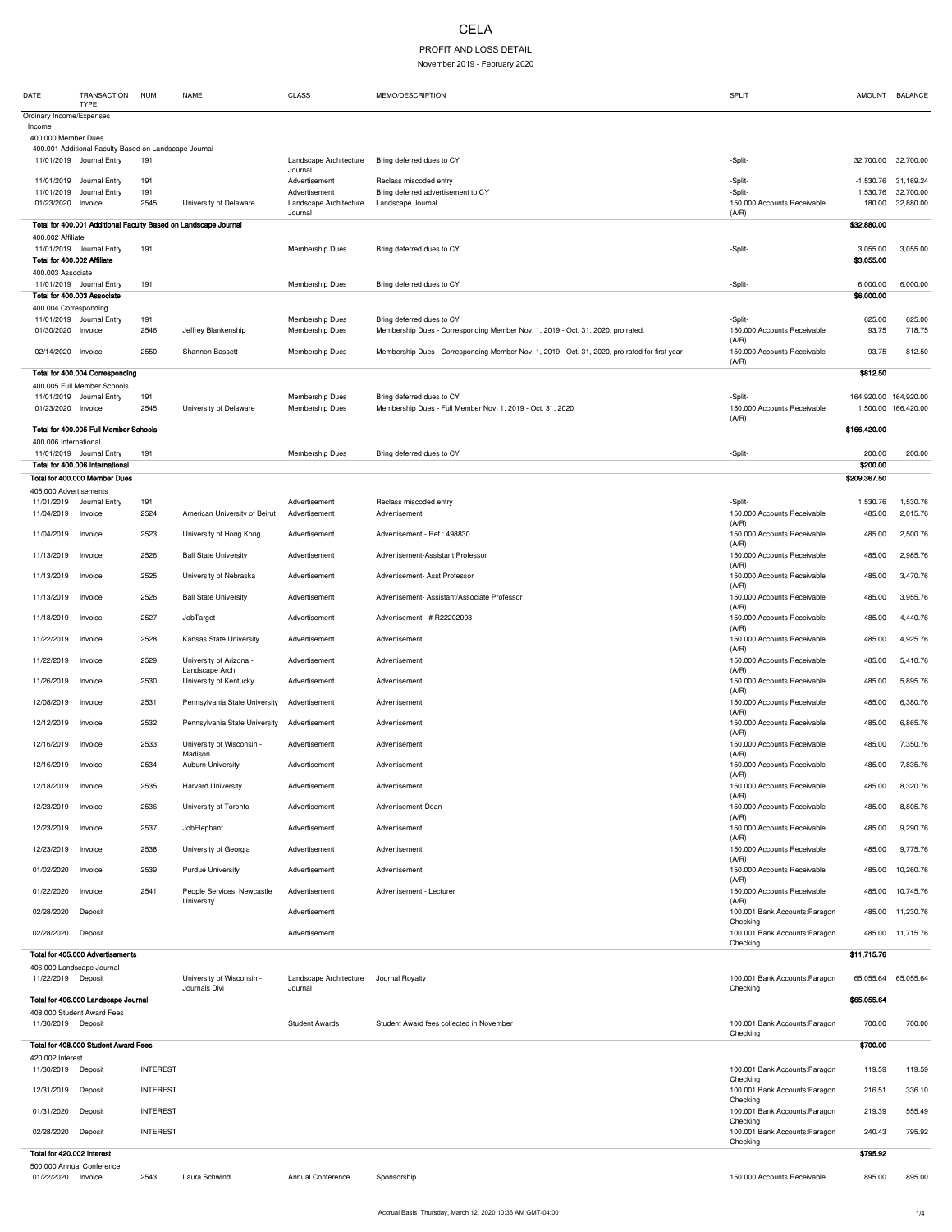## CELA

## PROFIT AND LOSS DETAIL

November 2019 - February 2020

| <b>DATE</b>                                      | <b>TRANSACTION</b><br><b>TYPE</b>                     | <b>NUM</b>      | <b>NAME</b>                                                     | <b>CLASS</b>                              | MEMO/DESCRIPTION                                                                              | <b>SPLIT</b>                               | <b>AMOUNT</b>         | <b>BALANCE</b>         |
|--------------------------------------------------|-------------------------------------------------------|-----------------|-----------------------------------------------------------------|-------------------------------------------|-----------------------------------------------------------------------------------------------|--------------------------------------------|-----------------------|------------------------|
| Ordinary Income/Expenses                         |                                                       |                 |                                                                 |                                           |                                                                                               |                                            |                       |                        |
| Income<br>400.000 Member Dues                    |                                                       |                 |                                                                 |                                           |                                                                                               |                                            |                       |                        |
|                                                  | 400.001 Additional Faculty Based on Landscape Journal |                 |                                                                 |                                           |                                                                                               |                                            |                       |                        |
|                                                  | 11/01/2019 Journal Entry                              | 191             |                                                                 | Landscape Architecture<br>Journal         | Bring deferred dues to CY                                                                     | -Split-                                    | 32,700.00             | 32,700.00              |
|                                                  | 11/01/2019 Journal Entry                              | 191             |                                                                 | Advertisement                             | Reclass miscoded entry                                                                        | -Split-                                    | $-1,530.76$           | 31,169.24              |
| 11/01/2019<br>01/23/2020 Invoice                 | Journal Entry                                         | 191<br>2545     | University of Delaware                                          | Advertisement<br>Landscape Architecture   | Bring deferred advertisement to CY<br>Landscape Journal                                       | -Split-<br>150.000 Accounts Receivable     | 1,530.76<br>180.00    | 32,700.00<br>32,880.00 |
|                                                  |                                                       |                 |                                                                 | Journal                                   |                                                                                               | (A/R)                                      |                       |                        |
| 400.002 Affiliate                                |                                                       |                 | Total for 400.001 Additional Faculty Based on Landscape Journal |                                           |                                                                                               |                                            | \$32,880.00           |                        |
|                                                  | 11/01/2019 Journal Entry                              | 191             |                                                                 | <b>Membership Dues</b>                    | Bring deferred dues to CY                                                                     | -Split-                                    | 3,055.00              | 3,055.00               |
| Total for 400.002 Affiliate<br>400.003 Associate |                                                       |                 |                                                                 |                                           |                                                                                               |                                            | \$3,055.00            |                        |
|                                                  | 11/01/2019 Journal Entry                              | 191             |                                                                 | <b>Membership Dues</b>                    | Bring deferred dues to CY                                                                     | -Split-                                    | 6,000.00              | 6,000.00               |
|                                                  | Total for 400.003 Associate                           |                 |                                                                 |                                           |                                                                                               |                                            | \$6,000.00            |                        |
| 400.004 Corresponding                            | 11/01/2019 Journal Entry                              | 191             |                                                                 | Membership Dues                           | Bring deferred dues to CY                                                                     | -Split-                                    | 625.00                | 625.00                 |
| 01/30/2020 Invoice                               |                                                       | 2546            | Jeffrey Blankenship                                             | <b>Membership Dues</b>                    | Membership Dues - Corresponding Member Nov. 1, 2019 - Oct. 31, 2020, pro rated.               | 150.000 Accounts Receivable<br>(A/R)       | 93.75                 | 718.75                 |
| 02/14/2020 Invoice                               |                                                       | 2550            | <b>Shannon Bassett</b>                                          | <b>Membership Dues</b>                    | Membership Dues - Corresponding Member Nov. 1, 2019 - Oct. 31, 2020, pro rated for first year | 150.000 Accounts Receivable                | 93.75                 | 812.50                 |
|                                                  | Total for 400.004 Corresponding                       |                 |                                                                 |                                           |                                                                                               | (A/R)                                      | \$812.50              |                        |
|                                                  | 400.005 Full Member Schools                           |                 |                                                                 |                                           |                                                                                               |                                            |                       |                        |
| 01/23/2020 Invoice                               | 11/01/2019 Journal Entry                              | 191<br>2545     | University of Delaware                                          | Membership Dues<br><b>Membership Dues</b> | Bring deferred dues to CY<br>Membership Dues - Full Member Nov. 1, 2019 - Oct. 31, 2020       | -Split-<br>150.000 Accounts Receivable     | 164,920.00 164,920.00 | 1,500.00 166,420.00    |
|                                                  |                                                       |                 |                                                                 |                                           |                                                                                               | (A/R)                                      |                       |                        |
| 400.006 International                            | Total for 400.005 Full Member Schools                 |                 |                                                                 |                                           |                                                                                               |                                            | \$166,420.00          |                        |
|                                                  | 11/01/2019 Journal Entry                              | 191             |                                                                 | <b>Membership Dues</b>                    | Bring deferred dues to CY                                                                     | -Split-                                    | 200.00                | 200.00                 |
|                                                  | Total for 400.006 International                       |                 |                                                                 |                                           |                                                                                               |                                            | \$200.00              |                        |
| 405.000 Advertisements                           | Total for 400.000 Member Dues                         |                 |                                                                 |                                           |                                                                                               |                                            | \$209,367.50          |                        |
| 11/01/2019                                       | Journal Entry                                         | 191             |                                                                 | Advertisement                             | Reclass miscoded entry                                                                        | -Split-                                    | 1,530.76              | 1,530.76               |
| 11/04/2019                                       | Invoice                                               | 2524            | American University of Beirut                                   | Advertisement                             | Advertisement                                                                                 | 150.000 Accounts Receivable<br>(A/R)       | 485.00                | 2,015.76               |
| 11/04/2019                                       | Invoice                                               | 2523            | University of Hong Kong                                         | Advertisement                             | Advertisement - Ref.: 498830                                                                  | 150.000 Accounts Receivable                | 485.00                | 2,500.76               |
| 11/13/2019 Invoice                               |                                                       | 2526            | <b>Ball State University</b>                                    | Advertisement                             | Advertisement-Assistant Professor                                                             | (A/R)<br>150.000 Accounts Receivable       | 485.00                | 2,985.76               |
| 11/13/2019                                       | Invoice                                               | 2525            | University of Nebraska                                          | Advertisement                             | Advertisement- Asst Professor                                                                 | (A/R)<br>150.000 Accounts Receivable       | 485.00                | 3,470.76               |
| 11/13/2019                                       | Invoice                                               | 2526            | <b>Ball State University</b>                                    | Advertisement                             | Advertisement- Assistant/Associate Professor                                                  | (A/R)<br>150.000 Accounts Receivable       | 485.00                | 3,955.76               |
|                                                  |                                                       |                 |                                                                 |                                           |                                                                                               | (A/R)                                      |                       |                        |
| 11/18/2019                                       | Invoice                                               | 2527            | JobTarget                                                       | Advertisement                             | Advertisement - # R22202093                                                                   | 150.000 Accounts Receivable<br>(A/R)       | 485.00                | 4,440.76               |
| 11/22/2019                                       | Invoice                                               | 2528            | Kansas State University                                         | Advertisement                             | Advertisement                                                                                 | 150.000 Accounts Receivable<br>(A/R)       | 485.00                | 4,925.76               |
| 11/22/2019                                       | Invoice                                               | 2529            | University of Arizona -<br>Landscape Arch                       | Advertisement                             | Advertisement                                                                                 | 150.000 Accounts Receivable<br>(A/R)       | 485.00                | 5,410.76               |
| 11/26/2019                                       | Invoice                                               | 2530            | University of Kentucky                                          | Advertisement                             | Advertisement                                                                                 | 150.000 Accounts Receivable<br>(A/R)       | 485.00                | 5,895.76               |
| 12/08/2019                                       | Invoice                                               | 2531            | Pennsylvania State University                                   | Advertisement                             | Advertisement                                                                                 | 150.000 Accounts Receivable                | 485.00                | 6,380.76               |
| 12/12/2019                                       | Invoice                                               | 2532            | Pennsylvania State University                                   | Advertisement                             | Advertisement                                                                                 | (A/R)<br>150.000 Accounts Receivable       | 485.00                | 6,865.76               |
| 12/16/2019                                       | Invoice                                               | 2533            | University of Wisconsin -                                       | Advertisement                             | Advertisement                                                                                 | (A/R)<br>150.000 Accounts Receivable       | 485.00                | 7,350.76               |
| 12/16/2019                                       | Invoice                                               | 2534            | Madison<br><b>Auburn University</b>                             | Advertisement                             | Advertisement                                                                                 | (A/R)<br>150.000 Accounts Receivable       | 485.00                | 7,835.76               |
| 12/18/2019                                       | Invoice                                               | 2535            | <b>Harvard University</b>                                       | Advertisement                             | Advertisement                                                                                 | (A/R)<br>150.000 Accounts Receivable       | 485.00                | 8,320.76               |
| 12/23/2019                                       | Invoice                                               | 2536            | University of Toronto                                           | Advertisement                             | Advertisement-Dean                                                                            | (A/R)<br>150.000 Accounts Receivable       | 485.00                | 8,805.76               |
| 12/23/2019                                       | Invoice                                               | 2537            | JobElephant                                                     | Advertisement                             | Advertisement                                                                                 | (A/R)<br>150.000 Accounts Receivable       | 485.00                | 9,290.76               |
| 12/23/2019 Invoice                               |                                                       | 2538            | University of Georgia                                           | Advertisement                             | Advertisement                                                                                 | (A/R)<br>150.000 Accounts Receivable       | 485.00                | 9,775.76               |
|                                                  |                                                       |                 |                                                                 |                                           |                                                                                               | (A/R)                                      |                       |                        |
| 01/02/2020                                       | Invoice                                               | 2539            | <b>Purdue University</b>                                        | Advertisement                             | Advertisement                                                                                 | 150.000 Accounts Receivable<br>(A/R)       | 485.00                | 10,260.76              |
| 01/22/2020                                       | Invoice                                               | 2541            | People Services, Newcastle<br>University                        | Advertisement                             | Advertisement - Lecturer                                                                      | 150.000 Accounts Receivable<br>(A/R)       | 485.00                | 10,745.76              |
| 02/28/2020                                       | Deposit                                               |                 |                                                                 | Advertisement                             |                                                                                               | 100.001 Bank Accounts: Paragon<br>Checking | 485.00                | 11,230.76              |
| 02/28/2020                                       | Deposit                                               |                 |                                                                 | Advertisement                             |                                                                                               | 100.001 Bank Accounts: Paragon             | 485.00                | 11,715.76              |
|                                                  | Total for 405.000 Advertisements                      |                 |                                                                 |                                           |                                                                                               | Checking                                   | \$11,715.76           |                        |
| 406.000 Landscape Journal                        |                                                       |                 |                                                                 |                                           |                                                                                               |                                            |                       |                        |
| 11/22/2019 Deposit                               |                                                       |                 | University of Wisconsin -<br>Journals Divi                      | Landscape Architecture<br>Journal         | Journal Royalty                                                                               | 100.001 Bank Accounts: Paragon<br>Checking |                       | 65,055.64 65,055.64    |
|                                                  | Total for 406.000 Landscape Journal                   |                 |                                                                 |                                           |                                                                                               |                                            | \$65,055.64           |                        |
| 11/30/2019 Deposit                               | 408.000 Student Award Fees                            |                 |                                                                 | <b>Student Awards</b>                     | Student Award fees collected in November                                                      | 100.001 Bank Accounts: Paragon             | 700.00                | 700.00                 |
|                                                  |                                                       |                 |                                                                 |                                           |                                                                                               | Checking                                   |                       |                        |
| 420.002 Interest                                 | Total for 408.000 Student Award Fees                  |                 |                                                                 |                                           |                                                                                               |                                            | \$700.00              |                        |
| 11/30/2019 Deposit                               |                                                       | <b>INTEREST</b> |                                                                 |                                           |                                                                                               | 100.001 Bank Accounts: Paragon             | 119.59                | 119.59                 |
| 12/31/2019                                       | Deposit                                               | <b>INTEREST</b> |                                                                 |                                           |                                                                                               | Checking<br>100.001 Bank Accounts: Paragon | 216.51                | 336.10                 |
|                                                  |                                                       |                 |                                                                 |                                           |                                                                                               | Checking                                   |                       |                        |
| 01/31/2020                                       | Deposit                                               | <b>INTEREST</b> |                                                                 |                                           |                                                                                               | 100.001 Bank Accounts: Paragon<br>Checking | 219.39                | 555.49                 |
| 02/28/2020                                       | Deposit                                               | <b>INTEREST</b> |                                                                 |                                           |                                                                                               | 100.001 Bank Accounts: Paragon<br>Checking | 240.43                | 795.92                 |
| Total for 420.002 Interest                       |                                                       |                 |                                                                 |                                           |                                                                                               |                                            | \$795.92              |                        |
| 01/22/2020 Invoice                               | 500.000 Annual Conference                             | 2543            | Laura Schwind                                                   | <b>Annual Conference</b>                  | Sponsorship                                                                                   | 150.000 Accounts Receivable                | 895.00                | 895.00                 |
|                                                  |                                                       |                 |                                                                 |                                           |                                                                                               |                                            |                       |                        |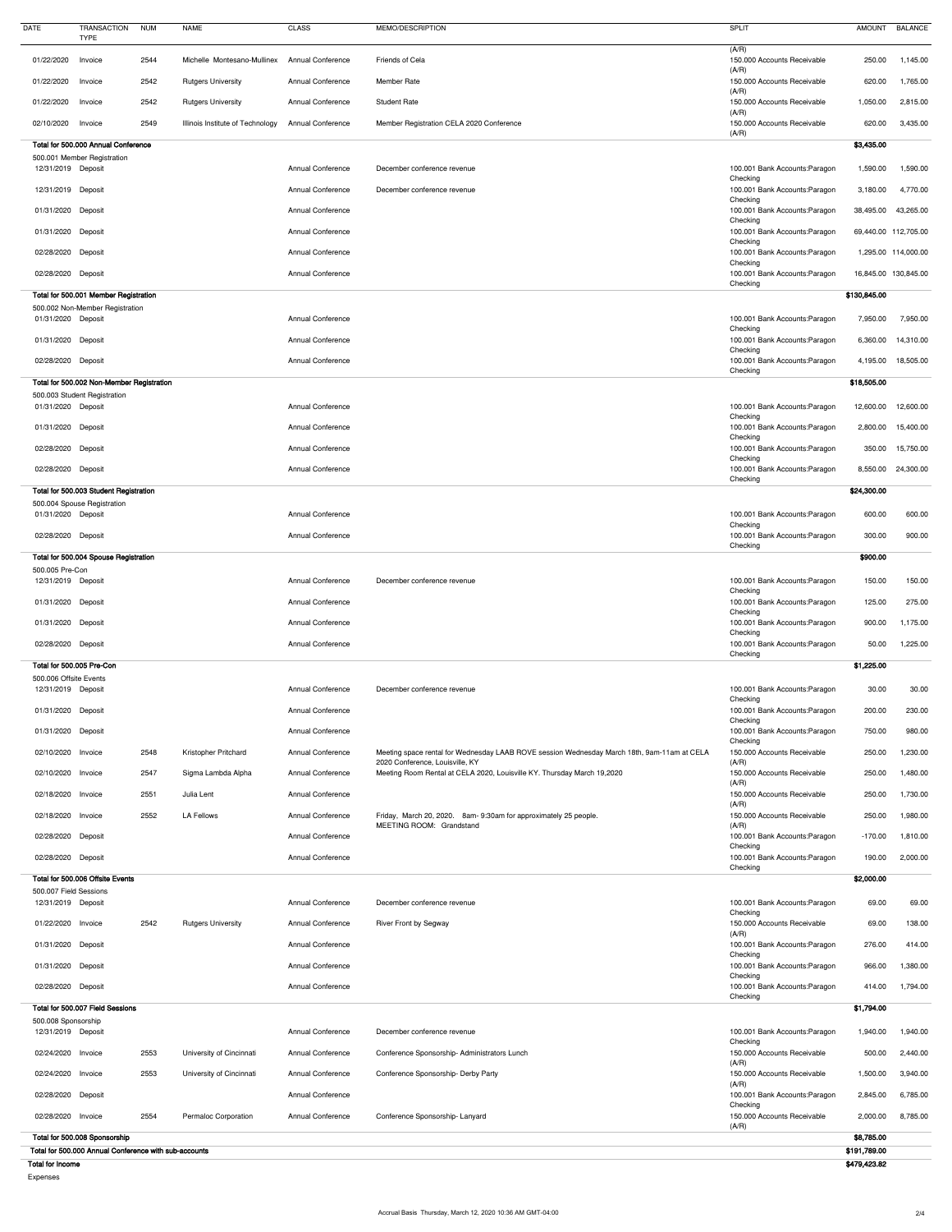| (A/R)<br>01/22/2020<br>2544<br>Friends of Cela<br>150.000 Accounts Receivable<br>250.00<br>Invoice<br>Michelle Montesano-Mullinex<br><b>Annual Conference</b><br>(A/R)<br>2542<br>01/22/2020<br><b>Rutgers University</b><br><b>Annual Conference</b><br><b>Member Rate</b><br>150.000 Accounts Receivable<br>620.00<br>Invoice<br>(A/R)<br>01/22/2020 Invoice<br>2542<br><b>Rutgers University</b><br><b>Annual Conference</b><br>150.000 Accounts Receivable<br>1,050.00<br><b>Student Rate</b><br>(A/R)<br>2549<br>150.000 Accounts Receivable<br>620.00<br>02/10/2020<br>Invoice<br>Illinois Institute of Technology<br><b>Annual Conference</b><br>Member Registration CELA 2020 Conference<br>(A/R)<br>Total for 500.000 Annual Conference<br>\$3,435.00<br>500.001 Member Registration<br>12/31/2019 Deposit<br><b>Annual Conference</b><br>100.001 Bank Accounts: Paragon<br>1,590.00<br>December conference revenue<br>1,590.00<br>Checking<br>12/31/2019 Deposit<br><b>Annual Conference</b><br>December conference revenue<br>100.001 Bank Accounts: Paragon<br>4,770.00<br>3,180.00<br>Checking<br><b>Annual Conference</b><br>100.001 Bank Accounts: Paragon<br>38,495.00<br>01/31/2020 Deposit<br>43,265.00<br>Checking<br>100.001 Bank Accounts: Paragon<br>01/31/2020 Deposit<br><b>Annual Conference</b><br>69,440.00 112,705.00<br>Checking<br><b>Annual Conference</b><br>100.001 Bank Accounts: Paragon<br>02/28/2020 Deposit<br>1,295.00 114,000.00<br>Checking<br>02/28/2020 Deposit<br><b>Annual Conference</b><br>100.001 Bank Accounts: Paragon<br>16,845.00 130,845.00<br>Checking<br>\$130,845.00<br>Total for 500.001 Member Registration<br>500.002 Non-Member Registration<br>100.001 Bank Accounts: Paragon<br>01/31/2020 Deposit<br><b>Annual Conference</b><br>7,950.00<br>Checking<br>01/31/2020 Deposit<br><b>Annual Conference</b><br>100.001 Bank Accounts: Paragon<br>6,360.00<br>Checking<br><b>Annual Conference</b><br>100.001 Bank Accounts: Paragon<br>02/28/2020<br>4,195.00<br>Deposit<br>Checking<br>\$18,505.00<br>Total for 500.002 Non-Member Registration<br>500.003 Student Registration<br>01/31/2020 Deposit<br><b>Annual Conference</b><br>100.001 Bank Accounts: Paragon<br>12,600.00<br>Checking<br><b>Annual Conference</b><br>100.001 Bank Accounts: Paragon<br>01/31/2020 Deposit<br>2,800.00<br>Checking<br><b>Annual Conference</b><br>100.001 Bank Accounts: Paragon<br>02/28/2020 Deposit<br>350.00<br>Checking<br><b>Annual Conference</b><br>100.001 Bank Accounts: Paragon<br>02/28/2020 Deposit<br>8,550.00 24,300.00<br>Checking<br>Total for 500.003 Student Registration<br>\$24,300.00<br>500.004 Spouse Registration<br><b>Annual Conference</b><br>600.00<br>01/31/2020 Deposit<br>100.001 Bank Accounts: Paragon<br>Checking<br><b>Annual Conference</b><br>100.001 Bank Accounts: Paragon<br>02/28/2020 Deposit<br>300.00<br>Checking<br>\$900.00<br>Total for 500.004 Spouse Registration<br>500.005 Pre-Con<br>December conference revenue<br>100.001 Bank Accounts: Paragon<br>150.00<br>12/31/2019 Deposit<br><b>Annual Conference</b><br>Checking<br><b>Annual Conference</b><br>100.001 Bank Accounts: Paragon<br>125.00<br>01/31/2020 Deposit<br>Checking<br><b>Annual Conference</b><br>100.001 Bank Accounts: Paragon<br>900.00<br>01/31/2020 Deposit<br>Checking<br><b>Annual Conference</b><br>100.001 Bank Accounts: Paragon<br>02/28/2020 Deposit<br>50.00<br>Checking<br>Total for 500.005 Pre-Con<br>\$1,225.00<br>500.006 Offsite Events<br>12/31/2019 Deposit<br><b>Annual Conference</b><br>December conference revenue<br>100.001 Bank Accounts: Paragon<br>30.00<br>Checking<br>01/31/2020 Deposit<br><b>Annual Conference</b><br>100.001 Bank Accounts: Paragon<br>200.00<br>Checking<br>01/31/2020 Deposit<br>750.00<br><b>Annual Conference</b><br>100.001 Bank Accounts: Paragon<br>Checking<br>02/10/2020 Invoice<br>2548<br>150.000 Accounts Receivable<br>250.00<br>Kristopher Pritchard<br><b>Annual Conference</b><br>Meeting space rental for Wednesday LAAB ROVE session Wednesday March 18th, 9am-11am at CELA<br>2020 Conference, Louisville, KY<br>(A/R)<br>2547<br>02/10/2020 Invoice<br><b>Annual Conference</b><br>Meeting Room Rental at CELA 2020, Louisville KY. Thursday March 19,2020<br>150.000 Accounts Receivable<br>250.00<br>Sigma Lambda Alpha<br>(A/R)<br>02/18/2020 Invoice<br>2551<br><b>Annual Conference</b><br>150.000 Accounts Receivable<br>Julia Lent<br>250.00<br>(A/R)<br>2552<br><b>LA Fellows</b><br>150.000 Accounts Receivable<br>250.00<br>02/18/2020 Invoice<br><b>Annual Conference</b><br>Friday, March 20, 2020. 8am-9:30am for approximately 25 people.<br>MEETING ROOM: Grandstand<br>(A/R)<br>02/28/2020 Deposit<br><b>Annual Conference</b><br>100.001 Bank Accounts: Paragon<br>$-170.00$<br>Checking<br><b>Annual Conference</b><br>02/28/2020 Deposit<br>100.001 Bank Accounts: Paragon<br>190.00<br>Checking<br>\$2,000.00<br>Total for 500.006 Offsite Events<br>500.007 Field Sessions<br>69.00<br>12/31/2019 Deposit<br><b>Annual Conference</b><br>December conference revenue<br>100.001 Bank Accounts: Paragon<br>Checking<br>2542<br>150.000 Accounts Receivable<br>69.00<br>01/22/2020 Invoice<br><b>Rutgers University</b><br><b>Annual Conference</b><br>138.00<br><b>River Front by Segway</b><br>(A/R)<br><b>Annual Conference</b><br>276.00<br>414.00<br>01/31/2020 Deposit<br>100.001 Bank Accounts: Paragon<br>Checking<br>100.001 Bank Accounts: Paragon<br>01/31/2020 Deposit<br><b>Annual Conference</b><br>966.00<br>1,380.00<br>Checking<br>02/28/2020 Deposit<br><b>Annual Conference</b><br>100.001 Bank Accounts: Paragon<br>414.00<br>1,794.00<br>Checking<br>Total for 500.007 Field Sessions<br>\$1,794.00<br>500.008 Sponsorship<br>12/31/2019 Deposit<br><b>Annual Conference</b><br>December conference revenue<br>100.001 Bank Accounts: Paragon<br>1,940.00<br>Checking<br>02/24/2020<br>2553<br>150.000 Accounts Receivable<br>500.00<br>University of Cincinnati<br><b>Annual Conference</b><br>Conference Sponsorship-Administrators Lunch<br>Invoice<br>(A/R)<br>2553<br>150.000 Accounts Receivable<br>1,500.00<br>02/24/2020 Invoice<br>University of Cincinnati<br><b>Annual Conference</b><br>Conference Sponsorship- Derby Party<br>(A/R)<br>02/28/2020 Deposit<br><b>Annual Conference</b><br>100.001 Bank Accounts: Paragon<br>2,845.00 6,785.00<br>Checking<br>150.000 Accounts Receivable<br>02/28/2020 Invoice<br>2554<br><b>Permaloc Corporation</b><br><b>Annual Conference</b><br>Conference Sponsorship-Lanyard<br>2,000.00<br>(A/R)<br>Total for 500.008 Sponsorship<br>\$8,785.00<br>Total for 500.000 Annual Conference with sub-accounts<br>\$191,789.00 | <b>DATE</b>      | <b>TRANSACTION</b><br><b>TYPE</b> | <b>NUM</b> | <b>NAME</b> | <b>CLASS</b> | MEMO/DESCRIPTION | <b>SPLIT</b> | <b>AMOUNT</b> | <b>BALANCE</b> |
|----------------------------------------------------------------------------------------------------------------------------------------------------------------------------------------------------------------------------------------------------------------------------------------------------------------------------------------------------------------------------------------------------------------------------------------------------------------------------------------------------------------------------------------------------------------------------------------------------------------------------------------------------------------------------------------------------------------------------------------------------------------------------------------------------------------------------------------------------------------------------------------------------------------------------------------------------------------------------------------------------------------------------------------------------------------------------------------------------------------------------------------------------------------------------------------------------------------------------------------------------------------------------------------------------------------------------------------------------------------------------------------------------------------------------------------------------------------------------------------------------------------------------------------------------------------------------------------------------------------------------------------------------------------------------------------------------------------------------------------------------------------------------------------------------------------------------------------------------------------------------------------------------------------------------------------------------------------------------------------------------------------------------------------------------------------------------------------------------------------------------------------------------------------------------------------------------------------------------------------------------------------------------------------------------------------------------------------------------------------------------------------------------------------------------------------------------------------------------------------------------------------------------------------------------------------------------------------------------------------------------------------------------------------------------------------------------------------------------------------------------------------------------------------------------------------------------------------------------------------------------------------------------------------------------------------------------------------------------------------------------------------------------------------------------------------------------------------------------------------------------------------------------------------------------------------------------------------------------------------------------------------------------------------------------------------------------------------------------------------------------------------------------------------------------------------------------------------------------------------------------------------------------------------------------------------------------------------------------------------------------------------------------------------------------------------------------------------------------------------------------------------------------------------------------------------------------------------------------------------------------------------------------------------------------------------------------------------------------------------------------------------------------------------------------------------------------------------------------------------------------------------------------------------------------------------------------------------------------------------------------------------------------------------------------------------------------------------------------------------------------------------------------------------------------------------------------------------------------------------------------------------------------------------------------------------------------------------------------------------------------------------------------------------------------------------------------------------------------------------------------------------------------------------------------------------------------------------------------------------------------------------------------------------------------------------------------------------------------------------------------------------------------------------------------------------------------------------------------------------------------------------------------------------------------------------------------------------------------------------------------------------------------------------------------------------------------------------------------------------------------------------------------------------------------------------------------------------------------------------------------------------------------------------------------------------------------------------------------------------------------------------------------------------------------------------------------------------------------------------------------------------------------------------------------------------------------------------------------------------------------------------------------------------------------------------------------------------------------------------------------------------------------------------------------------------------------------------------------------------------------------------------------------------------------------------------------------------------------------------------------------------------------------------------------------------------------------------------------------------------------------------------------------------------------------------------------------------------------------------------------------------------------------------------------------------------------------------------------------------------------------------------------------------------------------------------------------------------------------------------------------------------|------------------|-----------------------------------|------------|-------------|--------------|------------------|--------------|---------------|----------------|
|                                                                                                                                                                                                                                                                                                                                                                                                                                                                                                                                                                                                                                                                                                                                                                                                                                                                                                                                                                                                                                                                                                                                                                                                                                                                                                                                                                                                                                                                                                                                                                                                                                                                                                                                                                                                                                                                                                                                                                                                                                                                                                                                                                                                                                                                                                                                                                                                                                                                                                                                                                                                                                                                                                                                                                                                                                                                                                                                                                                                                                                                                                                                                                                                                                                                                                                                                                                                                                                                                                                                                                                                                                                                                                                                                                                                                                                                                                                                                                                                                                                                                                                                                                                                                                                                                                                                                                                                                                                                                                                                                                                                                                                                                                                                                                                                                                                                                                                                                                                                                                                                                                                                                                                                                                                                                                                                                                                                                                                                                                                                                                                                                                                                                                                                                                                                                                                                                                                                                                                                                                                                                                                                                                                                                                                                                                                                                                                                                                                                                                                                                                                                                                                                                                                                                                      |                  |                                   |            |             |              |                  |              |               | 1,145.00       |
|                                                                                                                                                                                                                                                                                                                                                                                                                                                                                                                                                                                                                                                                                                                                                                                                                                                                                                                                                                                                                                                                                                                                                                                                                                                                                                                                                                                                                                                                                                                                                                                                                                                                                                                                                                                                                                                                                                                                                                                                                                                                                                                                                                                                                                                                                                                                                                                                                                                                                                                                                                                                                                                                                                                                                                                                                                                                                                                                                                                                                                                                                                                                                                                                                                                                                                                                                                                                                                                                                                                                                                                                                                                                                                                                                                                                                                                                                                                                                                                                                                                                                                                                                                                                                                                                                                                                                                                                                                                                                                                                                                                                                                                                                                                                                                                                                                                                                                                                                                                                                                                                                                                                                                                                                                                                                                                                                                                                                                                                                                                                                                                                                                                                                                                                                                                                                                                                                                                                                                                                                                                                                                                                                                                                                                                                                                                                                                                                                                                                                                                                                                                                                                                                                                                                                                      |                  |                                   |            |             |              |                  |              |               | 1,765.00       |
|                                                                                                                                                                                                                                                                                                                                                                                                                                                                                                                                                                                                                                                                                                                                                                                                                                                                                                                                                                                                                                                                                                                                                                                                                                                                                                                                                                                                                                                                                                                                                                                                                                                                                                                                                                                                                                                                                                                                                                                                                                                                                                                                                                                                                                                                                                                                                                                                                                                                                                                                                                                                                                                                                                                                                                                                                                                                                                                                                                                                                                                                                                                                                                                                                                                                                                                                                                                                                                                                                                                                                                                                                                                                                                                                                                                                                                                                                                                                                                                                                                                                                                                                                                                                                                                                                                                                                                                                                                                                                                                                                                                                                                                                                                                                                                                                                                                                                                                                                                                                                                                                                                                                                                                                                                                                                                                                                                                                                                                                                                                                                                                                                                                                                                                                                                                                                                                                                                                                                                                                                                                                                                                                                                                                                                                                                                                                                                                                                                                                                                                                                                                                                                                                                                                                                                      |                  |                                   |            |             |              |                  |              |               | 2,815.00       |
|                                                                                                                                                                                                                                                                                                                                                                                                                                                                                                                                                                                                                                                                                                                                                                                                                                                                                                                                                                                                                                                                                                                                                                                                                                                                                                                                                                                                                                                                                                                                                                                                                                                                                                                                                                                                                                                                                                                                                                                                                                                                                                                                                                                                                                                                                                                                                                                                                                                                                                                                                                                                                                                                                                                                                                                                                                                                                                                                                                                                                                                                                                                                                                                                                                                                                                                                                                                                                                                                                                                                                                                                                                                                                                                                                                                                                                                                                                                                                                                                                                                                                                                                                                                                                                                                                                                                                                                                                                                                                                                                                                                                                                                                                                                                                                                                                                                                                                                                                                                                                                                                                                                                                                                                                                                                                                                                                                                                                                                                                                                                                                                                                                                                                                                                                                                                                                                                                                                                                                                                                                                                                                                                                                                                                                                                                                                                                                                                                                                                                                                                                                                                                                                                                                                                                                      |                  |                                   |            |             |              |                  |              |               | 3,435.00       |
|                                                                                                                                                                                                                                                                                                                                                                                                                                                                                                                                                                                                                                                                                                                                                                                                                                                                                                                                                                                                                                                                                                                                                                                                                                                                                                                                                                                                                                                                                                                                                                                                                                                                                                                                                                                                                                                                                                                                                                                                                                                                                                                                                                                                                                                                                                                                                                                                                                                                                                                                                                                                                                                                                                                                                                                                                                                                                                                                                                                                                                                                                                                                                                                                                                                                                                                                                                                                                                                                                                                                                                                                                                                                                                                                                                                                                                                                                                                                                                                                                                                                                                                                                                                                                                                                                                                                                                                                                                                                                                                                                                                                                                                                                                                                                                                                                                                                                                                                                                                                                                                                                                                                                                                                                                                                                                                                                                                                                                                                                                                                                                                                                                                                                                                                                                                                                                                                                                                                                                                                                                                                                                                                                                                                                                                                                                                                                                                                                                                                                                                                                                                                                                                                                                                                                                      |                  |                                   |            |             |              |                  |              |               |                |
|                                                                                                                                                                                                                                                                                                                                                                                                                                                                                                                                                                                                                                                                                                                                                                                                                                                                                                                                                                                                                                                                                                                                                                                                                                                                                                                                                                                                                                                                                                                                                                                                                                                                                                                                                                                                                                                                                                                                                                                                                                                                                                                                                                                                                                                                                                                                                                                                                                                                                                                                                                                                                                                                                                                                                                                                                                                                                                                                                                                                                                                                                                                                                                                                                                                                                                                                                                                                                                                                                                                                                                                                                                                                                                                                                                                                                                                                                                                                                                                                                                                                                                                                                                                                                                                                                                                                                                                                                                                                                                                                                                                                                                                                                                                                                                                                                                                                                                                                                                                                                                                                                                                                                                                                                                                                                                                                                                                                                                                                                                                                                                                                                                                                                                                                                                                                                                                                                                                                                                                                                                                                                                                                                                                                                                                                                                                                                                                                                                                                                                                                                                                                                                                                                                                                                                      |                  |                                   |            |             |              |                  |              |               |                |
|                                                                                                                                                                                                                                                                                                                                                                                                                                                                                                                                                                                                                                                                                                                                                                                                                                                                                                                                                                                                                                                                                                                                                                                                                                                                                                                                                                                                                                                                                                                                                                                                                                                                                                                                                                                                                                                                                                                                                                                                                                                                                                                                                                                                                                                                                                                                                                                                                                                                                                                                                                                                                                                                                                                                                                                                                                                                                                                                                                                                                                                                                                                                                                                                                                                                                                                                                                                                                                                                                                                                                                                                                                                                                                                                                                                                                                                                                                                                                                                                                                                                                                                                                                                                                                                                                                                                                                                                                                                                                                                                                                                                                                                                                                                                                                                                                                                                                                                                                                                                                                                                                                                                                                                                                                                                                                                                                                                                                                                                                                                                                                                                                                                                                                                                                                                                                                                                                                                                                                                                                                                                                                                                                                                                                                                                                                                                                                                                                                                                                                                                                                                                                                                                                                                                                                      |                  |                                   |            |             |              |                  |              |               |                |
|                                                                                                                                                                                                                                                                                                                                                                                                                                                                                                                                                                                                                                                                                                                                                                                                                                                                                                                                                                                                                                                                                                                                                                                                                                                                                                                                                                                                                                                                                                                                                                                                                                                                                                                                                                                                                                                                                                                                                                                                                                                                                                                                                                                                                                                                                                                                                                                                                                                                                                                                                                                                                                                                                                                                                                                                                                                                                                                                                                                                                                                                                                                                                                                                                                                                                                                                                                                                                                                                                                                                                                                                                                                                                                                                                                                                                                                                                                                                                                                                                                                                                                                                                                                                                                                                                                                                                                                                                                                                                                                                                                                                                                                                                                                                                                                                                                                                                                                                                                                                                                                                                                                                                                                                                                                                                                                                                                                                                                                                                                                                                                                                                                                                                                                                                                                                                                                                                                                                                                                                                                                                                                                                                                                                                                                                                                                                                                                                                                                                                                                                                                                                                                                                                                                                                                      |                  |                                   |            |             |              |                  |              |               |                |
|                                                                                                                                                                                                                                                                                                                                                                                                                                                                                                                                                                                                                                                                                                                                                                                                                                                                                                                                                                                                                                                                                                                                                                                                                                                                                                                                                                                                                                                                                                                                                                                                                                                                                                                                                                                                                                                                                                                                                                                                                                                                                                                                                                                                                                                                                                                                                                                                                                                                                                                                                                                                                                                                                                                                                                                                                                                                                                                                                                                                                                                                                                                                                                                                                                                                                                                                                                                                                                                                                                                                                                                                                                                                                                                                                                                                                                                                                                                                                                                                                                                                                                                                                                                                                                                                                                                                                                                                                                                                                                                                                                                                                                                                                                                                                                                                                                                                                                                                                                                                                                                                                                                                                                                                                                                                                                                                                                                                                                                                                                                                                                                                                                                                                                                                                                                                                                                                                                                                                                                                                                                                                                                                                                                                                                                                                                                                                                                                                                                                                                                                                                                                                                                                                                                                                                      |                  |                                   |            |             |              |                  |              |               |                |
|                                                                                                                                                                                                                                                                                                                                                                                                                                                                                                                                                                                                                                                                                                                                                                                                                                                                                                                                                                                                                                                                                                                                                                                                                                                                                                                                                                                                                                                                                                                                                                                                                                                                                                                                                                                                                                                                                                                                                                                                                                                                                                                                                                                                                                                                                                                                                                                                                                                                                                                                                                                                                                                                                                                                                                                                                                                                                                                                                                                                                                                                                                                                                                                                                                                                                                                                                                                                                                                                                                                                                                                                                                                                                                                                                                                                                                                                                                                                                                                                                                                                                                                                                                                                                                                                                                                                                                                                                                                                                                                                                                                                                                                                                                                                                                                                                                                                                                                                                                                                                                                                                                                                                                                                                                                                                                                                                                                                                                                                                                                                                                                                                                                                                                                                                                                                                                                                                                                                                                                                                                                                                                                                                                                                                                                                                                                                                                                                                                                                                                                                                                                                                                                                                                                                                                      |                  |                                   |            |             |              |                  |              |               |                |
|                                                                                                                                                                                                                                                                                                                                                                                                                                                                                                                                                                                                                                                                                                                                                                                                                                                                                                                                                                                                                                                                                                                                                                                                                                                                                                                                                                                                                                                                                                                                                                                                                                                                                                                                                                                                                                                                                                                                                                                                                                                                                                                                                                                                                                                                                                                                                                                                                                                                                                                                                                                                                                                                                                                                                                                                                                                                                                                                                                                                                                                                                                                                                                                                                                                                                                                                                                                                                                                                                                                                                                                                                                                                                                                                                                                                                                                                                                                                                                                                                                                                                                                                                                                                                                                                                                                                                                                                                                                                                                                                                                                                                                                                                                                                                                                                                                                                                                                                                                                                                                                                                                                                                                                                                                                                                                                                                                                                                                                                                                                                                                                                                                                                                                                                                                                                                                                                                                                                                                                                                                                                                                                                                                                                                                                                                                                                                                                                                                                                                                                                                                                                                                                                                                                                                                      |                  |                                   |            |             |              |                  |              |               |                |
|                                                                                                                                                                                                                                                                                                                                                                                                                                                                                                                                                                                                                                                                                                                                                                                                                                                                                                                                                                                                                                                                                                                                                                                                                                                                                                                                                                                                                                                                                                                                                                                                                                                                                                                                                                                                                                                                                                                                                                                                                                                                                                                                                                                                                                                                                                                                                                                                                                                                                                                                                                                                                                                                                                                                                                                                                                                                                                                                                                                                                                                                                                                                                                                                                                                                                                                                                                                                                                                                                                                                                                                                                                                                                                                                                                                                                                                                                                                                                                                                                                                                                                                                                                                                                                                                                                                                                                                                                                                                                                                                                                                                                                                                                                                                                                                                                                                                                                                                                                                                                                                                                                                                                                                                                                                                                                                                                                                                                                                                                                                                                                                                                                                                                                                                                                                                                                                                                                                                                                                                                                                                                                                                                                                                                                                                                                                                                                                                                                                                                                                                                                                                                                                                                                                                                                      |                  |                                   |            |             |              |                  |              |               |                |
|                                                                                                                                                                                                                                                                                                                                                                                                                                                                                                                                                                                                                                                                                                                                                                                                                                                                                                                                                                                                                                                                                                                                                                                                                                                                                                                                                                                                                                                                                                                                                                                                                                                                                                                                                                                                                                                                                                                                                                                                                                                                                                                                                                                                                                                                                                                                                                                                                                                                                                                                                                                                                                                                                                                                                                                                                                                                                                                                                                                                                                                                                                                                                                                                                                                                                                                                                                                                                                                                                                                                                                                                                                                                                                                                                                                                                                                                                                                                                                                                                                                                                                                                                                                                                                                                                                                                                                                                                                                                                                                                                                                                                                                                                                                                                                                                                                                                                                                                                                                                                                                                                                                                                                                                                                                                                                                                                                                                                                                                                                                                                                                                                                                                                                                                                                                                                                                                                                                                                                                                                                                                                                                                                                                                                                                                                                                                                                                                                                                                                                                                                                                                                                                                                                                                                                      |                  |                                   |            |             |              |                  |              |               |                |
|                                                                                                                                                                                                                                                                                                                                                                                                                                                                                                                                                                                                                                                                                                                                                                                                                                                                                                                                                                                                                                                                                                                                                                                                                                                                                                                                                                                                                                                                                                                                                                                                                                                                                                                                                                                                                                                                                                                                                                                                                                                                                                                                                                                                                                                                                                                                                                                                                                                                                                                                                                                                                                                                                                                                                                                                                                                                                                                                                                                                                                                                                                                                                                                                                                                                                                                                                                                                                                                                                                                                                                                                                                                                                                                                                                                                                                                                                                                                                                                                                                                                                                                                                                                                                                                                                                                                                                                                                                                                                                                                                                                                                                                                                                                                                                                                                                                                                                                                                                                                                                                                                                                                                                                                                                                                                                                                                                                                                                                                                                                                                                                                                                                                                                                                                                                                                                                                                                                                                                                                                                                                                                                                                                                                                                                                                                                                                                                                                                                                                                                                                                                                                                                                                                                                                                      |                  |                                   |            |             |              |                  |              |               | 7,950.00       |
|                                                                                                                                                                                                                                                                                                                                                                                                                                                                                                                                                                                                                                                                                                                                                                                                                                                                                                                                                                                                                                                                                                                                                                                                                                                                                                                                                                                                                                                                                                                                                                                                                                                                                                                                                                                                                                                                                                                                                                                                                                                                                                                                                                                                                                                                                                                                                                                                                                                                                                                                                                                                                                                                                                                                                                                                                                                                                                                                                                                                                                                                                                                                                                                                                                                                                                                                                                                                                                                                                                                                                                                                                                                                                                                                                                                                                                                                                                                                                                                                                                                                                                                                                                                                                                                                                                                                                                                                                                                                                                                                                                                                                                                                                                                                                                                                                                                                                                                                                                                                                                                                                                                                                                                                                                                                                                                                                                                                                                                                                                                                                                                                                                                                                                                                                                                                                                                                                                                                                                                                                                                                                                                                                                                                                                                                                                                                                                                                                                                                                                                                                                                                                                                                                                                                                                      |                  |                                   |            |             |              |                  |              |               | 14,310.00      |
|                                                                                                                                                                                                                                                                                                                                                                                                                                                                                                                                                                                                                                                                                                                                                                                                                                                                                                                                                                                                                                                                                                                                                                                                                                                                                                                                                                                                                                                                                                                                                                                                                                                                                                                                                                                                                                                                                                                                                                                                                                                                                                                                                                                                                                                                                                                                                                                                                                                                                                                                                                                                                                                                                                                                                                                                                                                                                                                                                                                                                                                                                                                                                                                                                                                                                                                                                                                                                                                                                                                                                                                                                                                                                                                                                                                                                                                                                                                                                                                                                                                                                                                                                                                                                                                                                                                                                                                                                                                                                                                                                                                                                                                                                                                                                                                                                                                                                                                                                                                                                                                                                                                                                                                                                                                                                                                                                                                                                                                                                                                                                                                                                                                                                                                                                                                                                                                                                                                                                                                                                                                                                                                                                                                                                                                                                                                                                                                                                                                                                                                                                                                                                                                                                                                                                                      |                  |                                   |            |             |              |                  |              |               | 18,505.00      |
|                                                                                                                                                                                                                                                                                                                                                                                                                                                                                                                                                                                                                                                                                                                                                                                                                                                                                                                                                                                                                                                                                                                                                                                                                                                                                                                                                                                                                                                                                                                                                                                                                                                                                                                                                                                                                                                                                                                                                                                                                                                                                                                                                                                                                                                                                                                                                                                                                                                                                                                                                                                                                                                                                                                                                                                                                                                                                                                                                                                                                                                                                                                                                                                                                                                                                                                                                                                                                                                                                                                                                                                                                                                                                                                                                                                                                                                                                                                                                                                                                                                                                                                                                                                                                                                                                                                                                                                                                                                                                                                                                                                                                                                                                                                                                                                                                                                                                                                                                                                                                                                                                                                                                                                                                                                                                                                                                                                                                                                                                                                                                                                                                                                                                                                                                                                                                                                                                                                                                                                                                                                                                                                                                                                                                                                                                                                                                                                                                                                                                                                                                                                                                                                                                                                                                                      |                  |                                   |            |             |              |                  |              |               |                |
|                                                                                                                                                                                                                                                                                                                                                                                                                                                                                                                                                                                                                                                                                                                                                                                                                                                                                                                                                                                                                                                                                                                                                                                                                                                                                                                                                                                                                                                                                                                                                                                                                                                                                                                                                                                                                                                                                                                                                                                                                                                                                                                                                                                                                                                                                                                                                                                                                                                                                                                                                                                                                                                                                                                                                                                                                                                                                                                                                                                                                                                                                                                                                                                                                                                                                                                                                                                                                                                                                                                                                                                                                                                                                                                                                                                                                                                                                                                                                                                                                                                                                                                                                                                                                                                                                                                                                                                                                                                                                                                                                                                                                                                                                                                                                                                                                                                                                                                                                                                                                                                                                                                                                                                                                                                                                                                                                                                                                                                                                                                                                                                                                                                                                                                                                                                                                                                                                                                                                                                                                                                                                                                                                                                                                                                                                                                                                                                                                                                                                                                                                                                                                                                                                                                                                                      |                  |                                   |            |             |              |                  |              |               | 12,600.00      |
|                                                                                                                                                                                                                                                                                                                                                                                                                                                                                                                                                                                                                                                                                                                                                                                                                                                                                                                                                                                                                                                                                                                                                                                                                                                                                                                                                                                                                                                                                                                                                                                                                                                                                                                                                                                                                                                                                                                                                                                                                                                                                                                                                                                                                                                                                                                                                                                                                                                                                                                                                                                                                                                                                                                                                                                                                                                                                                                                                                                                                                                                                                                                                                                                                                                                                                                                                                                                                                                                                                                                                                                                                                                                                                                                                                                                                                                                                                                                                                                                                                                                                                                                                                                                                                                                                                                                                                                                                                                                                                                                                                                                                                                                                                                                                                                                                                                                                                                                                                                                                                                                                                                                                                                                                                                                                                                                                                                                                                                                                                                                                                                                                                                                                                                                                                                                                                                                                                                                                                                                                                                                                                                                                                                                                                                                                                                                                                                                                                                                                                                                                                                                                                                                                                                                                                      |                  |                                   |            |             |              |                  |              |               | 15,400.00      |
|                                                                                                                                                                                                                                                                                                                                                                                                                                                                                                                                                                                                                                                                                                                                                                                                                                                                                                                                                                                                                                                                                                                                                                                                                                                                                                                                                                                                                                                                                                                                                                                                                                                                                                                                                                                                                                                                                                                                                                                                                                                                                                                                                                                                                                                                                                                                                                                                                                                                                                                                                                                                                                                                                                                                                                                                                                                                                                                                                                                                                                                                                                                                                                                                                                                                                                                                                                                                                                                                                                                                                                                                                                                                                                                                                                                                                                                                                                                                                                                                                                                                                                                                                                                                                                                                                                                                                                                                                                                                                                                                                                                                                                                                                                                                                                                                                                                                                                                                                                                                                                                                                                                                                                                                                                                                                                                                                                                                                                                                                                                                                                                                                                                                                                                                                                                                                                                                                                                                                                                                                                                                                                                                                                                                                                                                                                                                                                                                                                                                                                                                                                                                                                                                                                                                                                      |                  |                                   |            |             |              |                  |              |               | 15,750.00      |
|                                                                                                                                                                                                                                                                                                                                                                                                                                                                                                                                                                                                                                                                                                                                                                                                                                                                                                                                                                                                                                                                                                                                                                                                                                                                                                                                                                                                                                                                                                                                                                                                                                                                                                                                                                                                                                                                                                                                                                                                                                                                                                                                                                                                                                                                                                                                                                                                                                                                                                                                                                                                                                                                                                                                                                                                                                                                                                                                                                                                                                                                                                                                                                                                                                                                                                                                                                                                                                                                                                                                                                                                                                                                                                                                                                                                                                                                                                                                                                                                                                                                                                                                                                                                                                                                                                                                                                                                                                                                                                                                                                                                                                                                                                                                                                                                                                                                                                                                                                                                                                                                                                                                                                                                                                                                                                                                                                                                                                                                                                                                                                                                                                                                                                                                                                                                                                                                                                                                                                                                                                                                                                                                                                                                                                                                                                                                                                                                                                                                                                                                                                                                                                                                                                                                                                      |                  |                                   |            |             |              |                  |              |               |                |
|                                                                                                                                                                                                                                                                                                                                                                                                                                                                                                                                                                                                                                                                                                                                                                                                                                                                                                                                                                                                                                                                                                                                                                                                                                                                                                                                                                                                                                                                                                                                                                                                                                                                                                                                                                                                                                                                                                                                                                                                                                                                                                                                                                                                                                                                                                                                                                                                                                                                                                                                                                                                                                                                                                                                                                                                                                                                                                                                                                                                                                                                                                                                                                                                                                                                                                                                                                                                                                                                                                                                                                                                                                                                                                                                                                                                                                                                                                                                                                                                                                                                                                                                                                                                                                                                                                                                                                                                                                                                                                                                                                                                                                                                                                                                                                                                                                                                                                                                                                                                                                                                                                                                                                                                                                                                                                                                                                                                                                                                                                                                                                                                                                                                                                                                                                                                                                                                                                                                                                                                                                                                                                                                                                                                                                                                                                                                                                                                                                                                                                                                                                                                                                                                                                                                                                      |                  |                                   |            |             |              |                  |              |               |                |
|                                                                                                                                                                                                                                                                                                                                                                                                                                                                                                                                                                                                                                                                                                                                                                                                                                                                                                                                                                                                                                                                                                                                                                                                                                                                                                                                                                                                                                                                                                                                                                                                                                                                                                                                                                                                                                                                                                                                                                                                                                                                                                                                                                                                                                                                                                                                                                                                                                                                                                                                                                                                                                                                                                                                                                                                                                                                                                                                                                                                                                                                                                                                                                                                                                                                                                                                                                                                                                                                                                                                                                                                                                                                                                                                                                                                                                                                                                                                                                                                                                                                                                                                                                                                                                                                                                                                                                                                                                                                                                                                                                                                                                                                                                                                                                                                                                                                                                                                                                                                                                                                                                                                                                                                                                                                                                                                                                                                                                                                                                                                                                                                                                                                                                                                                                                                                                                                                                                                                                                                                                                                                                                                                                                                                                                                                                                                                                                                                                                                                                                                                                                                                                                                                                                                                                      |                  |                                   |            |             |              |                  |              |               | 600.00         |
|                                                                                                                                                                                                                                                                                                                                                                                                                                                                                                                                                                                                                                                                                                                                                                                                                                                                                                                                                                                                                                                                                                                                                                                                                                                                                                                                                                                                                                                                                                                                                                                                                                                                                                                                                                                                                                                                                                                                                                                                                                                                                                                                                                                                                                                                                                                                                                                                                                                                                                                                                                                                                                                                                                                                                                                                                                                                                                                                                                                                                                                                                                                                                                                                                                                                                                                                                                                                                                                                                                                                                                                                                                                                                                                                                                                                                                                                                                                                                                                                                                                                                                                                                                                                                                                                                                                                                                                                                                                                                                                                                                                                                                                                                                                                                                                                                                                                                                                                                                                                                                                                                                                                                                                                                                                                                                                                                                                                                                                                                                                                                                                                                                                                                                                                                                                                                                                                                                                                                                                                                                                                                                                                                                                                                                                                                                                                                                                                                                                                                                                                                                                                                                                                                                                                                                      |                  |                                   |            |             |              |                  |              |               | 900.00         |
|                                                                                                                                                                                                                                                                                                                                                                                                                                                                                                                                                                                                                                                                                                                                                                                                                                                                                                                                                                                                                                                                                                                                                                                                                                                                                                                                                                                                                                                                                                                                                                                                                                                                                                                                                                                                                                                                                                                                                                                                                                                                                                                                                                                                                                                                                                                                                                                                                                                                                                                                                                                                                                                                                                                                                                                                                                                                                                                                                                                                                                                                                                                                                                                                                                                                                                                                                                                                                                                                                                                                                                                                                                                                                                                                                                                                                                                                                                                                                                                                                                                                                                                                                                                                                                                                                                                                                                                                                                                                                                                                                                                                                                                                                                                                                                                                                                                                                                                                                                                                                                                                                                                                                                                                                                                                                                                                                                                                                                                                                                                                                                                                                                                                                                                                                                                                                                                                                                                                                                                                                                                                                                                                                                                                                                                                                                                                                                                                                                                                                                                                                                                                                                                                                                                                                                      |                  |                                   |            |             |              |                  |              |               |                |
|                                                                                                                                                                                                                                                                                                                                                                                                                                                                                                                                                                                                                                                                                                                                                                                                                                                                                                                                                                                                                                                                                                                                                                                                                                                                                                                                                                                                                                                                                                                                                                                                                                                                                                                                                                                                                                                                                                                                                                                                                                                                                                                                                                                                                                                                                                                                                                                                                                                                                                                                                                                                                                                                                                                                                                                                                                                                                                                                                                                                                                                                                                                                                                                                                                                                                                                                                                                                                                                                                                                                                                                                                                                                                                                                                                                                                                                                                                                                                                                                                                                                                                                                                                                                                                                                                                                                                                                                                                                                                                                                                                                                                                                                                                                                                                                                                                                                                                                                                                                                                                                                                                                                                                                                                                                                                                                                                                                                                                                                                                                                                                                                                                                                                                                                                                                                                                                                                                                                                                                                                                                                                                                                                                                                                                                                                                                                                                                                                                                                                                                                                                                                                                                                                                                                                                      |                  |                                   |            |             |              |                  |              |               |                |
|                                                                                                                                                                                                                                                                                                                                                                                                                                                                                                                                                                                                                                                                                                                                                                                                                                                                                                                                                                                                                                                                                                                                                                                                                                                                                                                                                                                                                                                                                                                                                                                                                                                                                                                                                                                                                                                                                                                                                                                                                                                                                                                                                                                                                                                                                                                                                                                                                                                                                                                                                                                                                                                                                                                                                                                                                                                                                                                                                                                                                                                                                                                                                                                                                                                                                                                                                                                                                                                                                                                                                                                                                                                                                                                                                                                                                                                                                                                                                                                                                                                                                                                                                                                                                                                                                                                                                                                                                                                                                                                                                                                                                                                                                                                                                                                                                                                                                                                                                                                                                                                                                                                                                                                                                                                                                                                                                                                                                                                                                                                                                                                                                                                                                                                                                                                                                                                                                                                                                                                                                                                                                                                                                                                                                                                                                                                                                                                                                                                                                                                                                                                                                                                                                                                                                                      |                  |                                   |            |             |              |                  |              |               | 150.00         |
|                                                                                                                                                                                                                                                                                                                                                                                                                                                                                                                                                                                                                                                                                                                                                                                                                                                                                                                                                                                                                                                                                                                                                                                                                                                                                                                                                                                                                                                                                                                                                                                                                                                                                                                                                                                                                                                                                                                                                                                                                                                                                                                                                                                                                                                                                                                                                                                                                                                                                                                                                                                                                                                                                                                                                                                                                                                                                                                                                                                                                                                                                                                                                                                                                                                                                                                                                                                                                                                                                                                                                                                                                                                                                                                                                                                                                                                                                                                                                                                                                                                                                                                                                                                                                                                                                                                                                                                                                                                                                                                                                                                                                                                                                                                                                                                                                                                                                                                                                                                                                                                                                                                                                                                                                                                                                                                                                                                                                                                                                                                                                                                                                                                                                                                                                                                                                                                                                                                                                                                                                                                                                                                                                                                                                                                                                                                                                                                                                                                                                                                                                                                                                                                                                                                                                                      |                  |                                   |            |             |              |                  |              |               | 275.00         |
|                                                                                                                                                                                                                                                                                                                                                                                                                                                                                                                                                                                                                                                                                                                                                                                                                                                                                                                                                                                                                                                                                                                                                                                                                                                                                                                                                                                                                                                                                                                                                                                                                                                                                                                                                                                                                                                                                                                                                                                                                                                                                                                                                                                                                                                                                                                                                                                                                                                                                                                                                                                                                                                                                                                                                                                                                                                                                                                                                                                                                                                                                                                                                                                                                                                                                                                                                                                                                                                                                                                                                                                                                                                                                                                                                                                                                                                                                                                                                                                                                                                                                                                                                                                                                                                                                                                                                                                                                                                                                                                                                                                                                                                                                                                                                                                                                                                                                                                                                                                                                                                                                                                                                                                                                                                                                                                                                                                                                                                                                                                                                                                                                                                                                                                                                                                                                                                                                                                                                                                                                                                                                                                                                                                                                                                                                                                                                                                                                                                                                                                                                                                                                                                                                                                                                                      |                  |                                   |            |             |              |                  |              |               | 1,175.00       |
|                                                                                                                                                                                                                                                                                                                                                                                                                                                                                                                                                                                                                                                                                                                                                                                                                                                                                                                                                                                                                                                                                                                                                                                                                                                                                                                                                                                                                                                                                                                                                                                                                                                                                                                                                                                                                                                                                                                                                                                                                                                                                                                                                                                                                                                                                                                                                                                                                                                                                                                                                                                                                                                                                                                                                                                                                                                                                                                                                                                                                                                                                                                                                                                                                                                                                                                                                                                                                                                                                                                                                                                                                                                                                                                                                                                                                                                                                                                                                                                                                                                                                                                                                                                                                                                                                                                                                                                                                                                                                                                                                                                                                                                                                                                                                                                                                                                                                                                                                                                                                                                                                                                                                                                                                                                                                                                                                                                                                                                                                                                                                                                                                                                                                                                                                                                                                                                                                                                                                                                                                                                                                                                                                                                                                                                                                                                                                                                                                                                                                                                                                                                                                                                                                                                                                                      |                  |                                   |            |             |              |                  |              |               | 1,225.00       |
|                                                                                                                                                                                                                                                                                                                                                                                                                                                                                                                                                                                                                                                                                                                                                                                                                                                                                                                                                                                                                                                                                                                                                                                                                                                                                                                                                                                                                                                                                                                                                                                                                                                                                                                                                                                                                                                                                                                                                                                                                                                                                                                                                                                                                                                                                                                                                                                                                                                                                                                                                                                                                                                                                                                                                                                                                                                                                                                                                                                                                                                                                                                                                                                                                                                                                                                                                                                                                                                                                                                                                                                                                                                                                                                                                                                                                                                                                                                                                                                                                                                                                                                                                                                                                                                                                                                                                                                                                                                                                                                                                                                                                                                                                                                                                                                                                                                                                                                                                                                                                                                                                                                                                                                                                                                                                                                                                                                                                                                                                                                                                                                                                                                                                                                                                                                                                                                                                                                                                                                                                                                                                                                                                                                                                                                                                                                                                                                                                                                                                                                                                                                                                                                                                                                                                                      |                  |                                   |            |             |              |                  |              |               |                |
|                                                                                                                                                                                                                                                                                                                                                                                                                                                                                                                                                                                                                                                                                                                                                                                                                                                                                                                                                                                                                                                                                                                                                                                                                                                                                                                                                                                                                                                                                                                                                                                                                                                                                                                                                                                                                                                                                                                                                                                                                                                                                                                                                                                                                                                                                                                                                                                                                                                                                                                                                                                                                                                                                                                                                                                                                                                                                                                                                                                                                                                                                                                                                                                                                                                                                                                                                                                                                                                                                                                                                                                                                                                                                                                                                                                                                                                                                                                                                                                                                                                                                                                                                                                                                                                                                                                                                                                                                                                                                                                                                                                                                                                                                                                                                                                                                                                                                                                                                                                                                                                                                                                                                                                                                                                                                                                                                                                                                                                                                                                                                                                                                                                                                                                                                                                                                                                                                                                                                                                                                                                                                                                                                                                                                                                                                                                                                                                                                                                                                                                                                                                                                                                                                                                                                                      |                  |                                   |            |             |              |                  |              |               | 30.00          |
|                                                                                                                                                                                                                                                                                                                                                                                                                                                                                                                                                                                                                                                                                                                                                                                                                                                                                                                                                                                                                                                                                                                                                                                                                                                                                                                                                                                                                                                                                                                                                                                                                                                                                                                                                                                                                                                                                                                                                                                                                                                                                                                                                                                                                                                                                                                                                                                                                                                                                                                                                                                                                                                                                                                                                                                                                                                                                                                                                                                                                                                                                                                                                                                                                                                                                                                                                                                                                                                                                                                                                                                                                                                                                                                                                                                                                                                                                                                                                                                                                                                                                                                                                                                                                                                                                                                                                                                                                                                                                                                                                                                                                                                                                                                                                                                                                                                                                                                                                                                                                                                                                                                                                                                                                                                                                                                                                                                                                                                                                                                                                                                                                                                                                                                                                                                                                                                                                                                                                                                                                                                                                                                                                                                                                                                                                                                                                                                                                                                                                                                                                                                                                                                                                                                                                                      |                  |                                   |            |             |              |                  |              |               | 230.00         |
|                                                                                                                                                                                                                                                                                                                                                                                                                                                                                                                                                                                                                                                                                                                                                                                                                                                                                                                                                                                                                                                                                                                                                                                                                                                                                                                                                                                                                                                                                                                                                                                                                                                                                                                                                                                                                                                                                                                                                                                                                                                                                                                                                                                                                                                                                                                                                                                                                                                                                                                                                                                                                                                                                                                                                                                                                                                                                                                                                                                                                                                                                                                                                                                                                                                                                                                                                                                                                                                                                                                                                                                                                                                                                                                                                                                                                                                                                                                                                                                                                                                                                                                                                                                                                                                                                                                                                                                                                                                                                                                                                                                                                                                                                                                                                                                                                                                                                                                                                                                                                                                                                                                                                                                                                                                                                                                                                                                                                                                                                                                                                                                                                                                                                                                                                                                                                                                                                                                                                                                                                                                                                                                                                                                                                                                                                                                                                                                                                                                                                                                                                                                                                                                                                                                                                                      |                  |                                   |            |             |              |                  |              |               | 980.00         |
|                                                                                                                                                                                                                                                                                                                                                                                                                                                                                                                                                                                                                                                                                                                                                                                                                                                                                                                                                                                                                                                                                                                                                                                                                                                                                                                                                                                                                                                                                                                                                                                                                                                                                                                                                                                                                                                                                                                                                                                                                                                                                                                                                                                                                                                                                                                                                                                                                                                                                                                                                                                                                                                                                                                                                                                                                                                                                                                                                                                                                                                                                                                                                                                                                                                                                                                                                                                                                                                                                                                                                                                                                                                                                                                                                                                                                                                                                                                                                                                                                                                                                                                                                                                                                                                                                                                                                                                                                                                                                                                                                                                                                                                                                                                                                                                                                                                                                                                                                                                                                                                                                                                                                                                                                                                                                                                                                                                                                                                                                                                                                                                                                                                                                                                                                                                                                                                                                                                                                                                                                                                                                                                                                                                                                                                                                                                                                                                                                                                                                                                                                                                                                                                                                                                                                                      |                  |                                   |            |             |              |                  |              |               | 1,230.00       |
|                                                                                                                                                                                                                                                                                                                                                                                                                                                                                                                                                                                                                                                                                                                                                                                                                                                                                                                                                                                                                                                                                                                                                                                                                                                                                                                                                                                                                                                                                                                                                                                                                                                                                                                                                                                                                                                                                                                                                                                                                                                                                                                                                                                                                                                                                                                                                                                                                                                                                                                                                                                                                                                                                                                                                                                                                                                                                                                                                                                                                                                                                                                                                                                                                                                                                                                                                                                                                                                                                                                                                                                                                                                                                                                                                                                                                                                                                                                                                                                                                                                                                                                                                                                                                                                                                                                                                                                                                                                                                                                                                                                                                                                                                                                                                                                                                                                                                                                                                                                                                                                                                                                                                                                                                                                                                                                                                                                                                                                                                                                                                                                                                                                                                                                                                                                                                                                                                                                                                                                                                                                                                                                                                                                                                                                                                                                                                                                                                                                                                                                                                                                                                                                                                                                                                                      |                  |                                   |            |             |              |                  |              |               | 1,480.00       |
|                                                                                                                                                                                                                                                                                                                                                                                                                                                                                                                                                                                                                                                                                                                                                                                                                                                                                                                                                                                                                                                                                                                                                                                                                                                                                                                                                                                                                                                                                                                                                                                                                                                                                                                                                                                                                                                                                                                                                                                                                                                                                                                                                                                                                                                                                                                                                                                                                                                                                                                                                                                                                                                                                                                                                                                                                                                                                                                                                                                                                                                                                                                                                                                                                                                                                                                                                                                                                                                                                                                                                                                                                                                                                                                                                                                                                                                                                                                                                                                                                                                                                                                                                                                                                                                                                                                                                                                                                                                                                                                                                                                                                                                                                                                                                                                                                                                                                                                                                                                                                                                                                                                                                                                                                                                                                                                                                                                                                                                                                                                                                                                                                                                                                                                                                                                                                                                                                                                                                                                                                                                                                                                                                                                                                                                                                                                                                                                                                                                                                                                                                                                                                                                                                                                                                                      |                  |                                   |            |             |              |                  |              |               | 1,730.00       |
|                                                                                                                                                                                                                                                                                                                                                                                                                                                                                                                                                                                                                                                                                                                                                                                                                                                                                                                                                                                                                                                                                                                                                                                                                                                                                                                                                                                                                                                                                                                                                                                                                                                                                                                                                                                                                                                                                                                                                                                                                                                                                                                                                                                                                                                                                                                                                                                                                                                                                                                                                                                                                                                                                                                                                                                                                                                                                                                                                                                                                                                                                                                                                                                                                                                                                                                                                                                                                                                                                                                                                                                                                                                                                                                                                                                                                                                                                                                                                                                                                                                                                                                                                                                                                                                                                                                                                                                                                                                                                                                                                                                                                                                                                                                                                                                                                                                                                                                                                                                                                                                                                                                                                                                                                                                                                                                                                                                                                                                                                                                                                                                                                                                                                                                                                                                                                                                                                                                                                                                                                                                                                                                                                                                                                                                                                                                                                                                                                                                                                                                                                                                                                                                                                                                                                                      |                  |                                   |            |             |              |                  |              |               | 1,980.00       |
|                                                                                                                                                                                                                                                                                                                                                                                                                                                                                                                                                                                                                                                                                                                                                                                                                                                                                                                                                                                                                                                                                                                                                                                                                                                                                                                                                                                                                                                                                                                                                                                                                                                                                                                                                                                                                                                                                                                                                                                                                                                                                                                                                                                                                                                                                                                                                                                                                                                                                                                                                                                                                                                                                                                                                                                                                                                                                                                                                                                                                                                                                                                                                                                                                                                                                                                                                                                                                                                                                                                                                                                                                                                                                                                                                                                                                                                                                                                                                                                                                                                                                                                                                                                                                                                                                                                                                                                                                                                                                                                                                                                                                                                                                                                                                                                                                                                                                                                                                                                                                                                                                                                                                                                                                                                                                                                                                                                                                                                                                                                                                                                                                                                                                                                                                                                                                                                                                                                                                                                                                                                                                                                                                                                                                                                                                                                                                                                                                                                                                                                                                                                                                                                                                                                                                                      |                  |                                   |            |             |              |                  |              |               | 1,810.00       |
|                                                                                                                                                                                                                                                                                                                                                                                                                                                                                                                                                                                                                                                                                                                                                                                                                                                                                                                                                                                                                                                                                                                                                                                                                                                                                                                                                                                                                                                                                                                                                                                                                                                                                                                                                                                                                                                                                                                                                                                                                                                                                                                                                                                                                                                                                                                                                                                                                                                                                                                                                                                                                                                                                                                                                                                                                                                                                                                                                                                                                                                                                                                                                                                                                                                                                                                                                                                                                                                                                                                                                                                                                                                                                                                                                                                                                                                                                                                                                                                                                                                                                                                                                                                                                                                                                                                                                                                                                                                                                                                                                                                                                                                                                                                                                                                                                                                                                                                                                                                                                                                                                                                                                                                                                                                                                                                                                                                                                                                                                                                                                                                                                                                                                                                                                                                                                                                                                                                                                                                                                                                                                                                                                                                                                                                                                                                                                                                                                                                                                                                                                                                                                                                                                                                                                                      |                  |                                   |            |             |              |                  |              |               | 2,000.00       |
|                                                                                                                                                                                                                                                                                                                                                                                                                                                                                                                                                                                                                                                                                                                                                                                                                                                                                                                                                                                                                                                                                                                                                                                                                                                                                                                                                                                                                                                                                                                                                                                                                                                                                                                                                                                                                                                                                                                                                                                                                                                                                                                                                                                                                                                                                                                                                                                                                                                                                                                                                                                                                                                                                                                                                                                                                                                                                                                                                                                                                                                                                                                                                                                                                                                                                                                                                                                                                                                                                                                                                                                                                                                                                                                                                                                                                                                                                                                                                                                                                                                                                                                                                                                                                                                                                                                                                                                                                                                                                                                                                                                                                                                                                                                                                                                                                                                                                                                                                                                                                                                                                                                                                                                                                                                                                                                                                                                                                                                                                                                                                                                                                                                                                                                                                                                                                                                                                                                                                                                                                                                                                                                                                                                                                                                                                                                                                                                                                                                                                                                                                                                                                                                                                                                                                                      |                  |                                   |            |             |              |                  |              |               |                |
|                                                                                                                                                                                                                                                                                                                                                                                                                                                                                                                                                                                                                                                                                                                                                                                                                                                                                                                                                                                                                                                                                                                                                                                                                                                                                                                                                                                                                                                                                                                                                                                                                                                                                                                                                                                                                                                                                                                                                                                                                                                                                                                                                                                                                                                                                                                                                                                                                                                                                                                                                                                                                                                                                                                                                                                                                                                                                                                                                                                                                                                                                                                                                                                                                                                                                                                                                                                                                                                                                                                                                                                                                                                                                                                                                                                                                                                                                                                                                                                                                                                                                                                                                                                                                                                                                                                                                                                                                                                                                                                                                                                                                                                                                                                                                                                                                                                                                                                                                                                                                                                                                                                                                                                                                                                                                                                                                                                                                                                                                                                                                                                                                                                                                                                                                                                                                                                                                                                                                                                                                                                                                                                                                                                                                                                                                                                                                                                                                                                                                                                                                                                                                                                                                                                                                                      |                  |                                   |            |             |              |                  |              |               | 69.00          |
|                                                                                                                                                                                                                                                                                                                                                                                                                                                                                                                                                                                                                                                                                                                                                                                                                                                                                                                                                                                                                                                                                                                                                                                                                                                                                                                                                                                                                                                                                                                                                                                                                                                                                                                                                                                                                                                                                                                                                                                                                                                                                                                                                                                                                                                                                                                                                                                                                                                                                                                                                                                                                                                                                                                                                                                                                                                                                                                                                                                                                                                                                                                                                                                                                                                                                                                                                                                                                                                                                                                                                                                                                                                                                                                                                                                                                                                                                                                                                                                                                                                                                                                                                                                                                                                                                                                                                                                                                                                                                                                                                                                                                                                                                                                                                                                                                                                                                                                                                                                                                                                                                                                                                                                                                                                                                                                                                                                                                                                                                                                                                                                                                                                                                                                                                                                                                                                                                                                                                                                                                                                                                                                                                                                                                                                                                                                                                                                                                                                                                                                                                                                                                                                                                                                                                                      |                  |                                   |            |             |              |                  |              |               |                |
|                                                                                                                                                                                                                                                                                                                                                                                                                                                                                                                                                                                                                                                                                                                                                                                                                                                                                                                                                                                                                                                                                                                                                                                                                                                                                                                                                                                                                                                                                                                                                                                                                                                                                                                                                                                                                                                                                                                                                                                                                                                                                                                                                                                                                                                                                                                                                                                                                                                                                                                                                                                                                                                                                                                                                                                                                                                                                                                                                                                                                                                                                                                                                                                                                                                                                                                                                                                                                                                                                                                                                                                                                                                                                                                                                                                                                                                                                                                                                                                                                                                                                                                                                                                                                                                                                                                                                                                                                                                                                                                                                                                                                                                                                                                                                                                                                                                                                                                                                                                                                                                                                                                                                                                                                                                                                                                                                                                                                                                                                                                                                                                                                                                                                                                                                                                                                                                                                                                                                                                                                                                                                                                                                                                                                                                                                                                                                                                                                                                                                                                                                                                                                                                                                                                                                                      |                  |                                   |            |             |              |                  |              |               |                |
|                                                                                                                                                                                                                                                                                                                                                                                                                                                                                                                                                                                                                                                                                                                                                                                                                                                                                                                                                                                                                                                                                                                                                                                                                                                                                                                                                                                                                                                                                                                                                                                                                                                                                                                                                                                                                                                                                                                                                                                                                                                                                                                                                                                                                                                                                                                                                                                                                                                                                                                                                                                                                                                                                                                                                                                                                                                                                                                                                                                                                                                                                                                                                                                                                                                                                                                                                                                                                                                                                                                                                                                                                                                                                                                                                                                                                                                                                                                                                                                                                                                                                                                                                                                                                                                                                                                                                                                                                                                                                                                                                                                                                                                                                                                                                                                                                                                                                                                                                                                                                                                                                                                                                                                                                                                                                                                                                                                                                                                                                                                                                                                                                                                                                                                                                                                                                                                                                                                                                                                                                                                                                                                                                                                                                                                                                                                                                                                                                                                                                                                                                                                                                                                                                                                                                                      |                  |                                   |            |             |              |                  |              |               |                |
|                                                                                                                                                                                                                                                                                                                                                                                                                                                                                                                                                                                                                                                                                                                                                                                                                                                                                                                                                                                                                                                                                                                                                                                                                                                                                                                                                                                                                                                                                                                                                                                                                                                                                                                                                                                                                                                                                                                                                                                                                                                                                                                                                                                                                                                                                                                                                                                                                                                                                                                                                                                                                                                                                                                                                                                                                                                                                                                                                                                                                                                                                                                                                                                                                                                                                                                                                                                                                                                                                                                                                                                                                                                                                                                                                                                                                                                                                                                                                                                                                                                                                                                                                                                                                                                                                                                                                                                                                                                                                                                                                                                                                                                                                                                                                                                                                                                                                                                                                                                                                                                                                                                                                                                                                                                                                                                                                                                                                                                                                                                                                                                                                                                                                                                                                                                                                                                                                                                                                                                                                                                                                                                                                                                                                                                                                                                                                                                                                                                                                                                                                                                                                                                                                                                                                                      |                  |                                   |            |             |              |                  |              |               |                |
|                                                                                                                                                                                                                                                                                                                                                                                                                                                                                                                                                                                                                                                                                                                                                                                                                                                                                                                                                                                                                                                                                                                                                                                                                                                                                                                                                                                                                                                                                                                                                                                                                                                                                                                                                                                                                                                                                                                                                                                                                                                                                                                                                                                                                                                                                                                                                                                                                                                                                                                                                                                                                                                                                                                                                                                                                                                                                                                                                                                                                                                                                                                                                                                                                                                                                                                                                                                                                                                                                                                                                                                                                                                                                                                                                                                                                                                                                                                                                                                                                                                                                                                                                                                                                                                                                                                                                                                                                                                                                                                                                                                                                                                                                                                                                                                                                                                                                                                                                                                                                                                                                                                                                                                                                                                                                                                                                                                                                                                                                                                                                                                                                                                                                                                                                                                                                                                                                                                                                                                                                                                                                                                                                                                                                                                                                                                                                                                                                                                                                                                                                                                                                                                                                                                                                                      |                  |                                   |            |             |              |                  |              |               |                |
|                                                                                                                                                                                                                                                                                                                                                                                                                                                                                                                                                                                                                                                                                                                                                                                                                                                                                                                                                                                                                                                                                                                                                                                                                                                                                                                                                                                                                                                                                                                                                                                                                                                                                                                                                                                                                                                                                                                                                                                                                                                                                                                                                                                                                                                                                                                                                                                                                                                                                                                                                                                                                                                                                                                                                                                                                                                                                                                                                                                                                                                                                                                                                                                                                                                                                                                                                                                                                                                                                                                                                                                                                                                                                                                                                                                                                                                                                                                                                                                                                                                                                                                                                                                                                                                                                                                                                                                                                                                                                                                                                                                                                                                                                                                                                                                                                                                                                                                                                                                                                                                                                                                                                                                                                                                                                                                                                                                                                                                                                                                                                                                                                                                                                                                                                                                                                                                                                                                                                                                                                                                                                                                                                                                                                                                                                                                                                                                                                                                                                                                                                                                                                                                                                                                                                                      |                  |                                   |            |             |              |                  |              |               |                |
|                                                                                                                                                                                                                                                                                                                                                                                                                                                                                                                                                                                                                                                                                                                                                                                                                                                                                                                                                                                                                                                                                                                                                                                                                                                                                                                                                                                                                                                                                                                                                                                                                                                                                                                                                                                                                                                                                                                                                                                                                                                                                                                                                                                                                                                                                                                                                                                                                                                                                                                                                                                                                                                                                                                                                                                                                                                                                                                                                                                                                                                                                                                                                                                                                                                                                                                                                                                                                                                                                                                                                                                                                                                                                                                                                                                                                                                                                                                                                                                                                                                                                                                                                                                                                                                                                                                                                                                                                                                                                                                                                                                                                                                                                                                                                                                                                                                                                                                                                                                                                                                                                                                                                                                                                                                                                                                                                                                                                                                                                                                                                                                                                                                                                                                                                                                                                                                                                                                                                                                                                                                                                                                                                                                                                                                                                                                                                                                                                                                                                                                                                                                                                                                                                                                                                                      |                  |                                   |            |             |              |                  |              |               | 1,940.00       |
|                                                                                                                                                                                                                                                                                                                                                                                                                                                                                                                                                                                                                                                                                                                                                                                                                                                                                                                                                                                                                                                                                                                                                                                                                                                                                                                                                                                                                                                                                                                                                                                                                                                                                                                                                                                                                                                                                                                                                                                                                                                                                                                                                                                                                                                                                                                                                                                                                                                                                                                                                                                                                                                                                                                                                                                                                                                                                                                                                                                                                                                                                                                                                                                                                                                                                                                                                                                                                                                                                                                                                                                                                                                                                                                                                                                                                                                                                                                                                                                                                                                                                                                                                                                                                                                                                                                                                                                                                                                                                                                                                                                                                                                                                                                                                                                                                                                                                                                                                                                                                                                                                                                                                                                                                                                                                                                                                                                                                                                                                                                                                                                                                                                                                                                                                                                                                                                                                                                                                                                                                                                                                                                                                                                                                                                                                                                                                                                                                                                                                                                                                                                                                                                                                                                                                                      |                  |                                   |            |             |              |                  |              |               | 2,440.00       |
|                                                                                                                                                                                                                                                                                                                                                                                                                                                                                                                                                                                                                                                                                                                                                                                                                                                                                                                                                                                                                                                                                                                                                                                                                                                                                                                                                                                                                                                                                                                                                                                                                                                                                                                                                                                                                                                                                                                                                                                                                                                                                                                                                                                                                                                                                                                                                                                                                                                                                                                                                                                                                                                                                                                                                                                                                                                                                                                                                                                                                                                                                                                                                                                                                                                                                                                                                                                                                                                                                                                                                                                                                                                                                                                                                                                                                                                                                                                                                                                                                                                                                                                                                                                                                                                                                                                                                                                                                                                                                                                                                                                                                                                                                                                                                                                                                                                                                                                                                                                                                                                                                                                                                                                                                                                                                                                                                                                                                                                                                                                                                                                                                                                                                                                                                                                                                                                                                                                                                                                                                                                                                                                                                                                                                                                                                                                                                                                                                                                                                                                                                                                                                                                                                                                                                                      |                  |                                   |            |             |              |                  |              |               | 3,940.00       |
|                                                                                                                                                                                                                                                                                                                                                                                                                                                                                                                                                                                                                                                                                                                                                                                                                                                                                                                                                                                                                                                                                                                                                                                                                                                                                                                                                                                                                                                                                                                                                                                                                                                                                                                                                                                                                                                                                                                                                                                                                                                                                                                                                                                                                                                                                                                                                                                                                                                                                                                                                                                                                                                                                                                                                                                                                                                                                                                                                                                                                                                                                                                                                                                                                                                                                                                                                                                                                                                                                                                                                                                                                                                                                                                                                                                                                                                                                                                                                                                                                                                                                                                                                                                                                                                                                                                                                                                                                                                                                                                                                                                                                                                                                                                                                                                                                                                                                                                                                                                                                                                                                                                                                                                                                                                                                                                                                                                                                                                                                                                                                                                                                                                                                                                                                                                                                                                                                                                                                                                                                                                                                                                                                                                                                                                                                                                                                                                                                                                                                                                                                                                                                                                                                                                                                                      |                  |                                   |            |             |              |                  |              |               |                |
|                                                                                                                                                                                                                                                                                                                                                                                                                                                                                                                                                                                                                                                                                                                                                                                                                                                                                                                                                                                                                                                                                                                                                                                                                                                                                                                                                                                                                                                                                                                                                                                                                                                                                                                                                                                                                                                                                                                                                                                                                                                                                                                                                                                                                                                                                                                                                                                                                                                                                                                                                                                                                                                                                                                                                                                                                                                                                                                                                                                                                                                                                                                                                                                                                                                                                                                                                                                                                                                                                                                                                                                                                                                                                                                                                                                                                                                                                                                                                                                                                                                                                                                                                                                                                                                                                                                                                                                                                                                                                                                                                                                                                                                                                                                                                                                                                                                                                                                                                                                                                                                                                                                                                                                                                                                                                                                                                                                                                                                                                                                                                                                                                                                                                                                                                                                                                                                                                                                                                                                                                                                                                                                                                                                                                                                                                                                                                                                                                                                                                                                                                                                                                                                                                                                                                                      |                  |                                   |            |             |              |                  |              |               | 8,785.00       |
|                                                                                                                                                                                                                                                                                                                                                                                                                                                                                                                                                                                                                                                                                                                                                                                                                                                                                                                                                                                                                                                                                                                                                                                                                                                                                                                                                                                                                                                                                                                                                                                                                                                                                                                                                                                                                                                                                                                                                                                                                                                                                                                                                                                                                                                                                                                                                                                                                                                                                                                                                                                                                                                                                                                                                                                                                                                                                                                                                                                                                                                                                                                                                                                                                                                                                                                                                                                                                                                                                                                                                                                                                                                                                                                                                                                                                                                                                                                                                                                                                                                                                                                                                                                                                                                                                                                                                                                                                                                                                                                                                                                                                                                                                                                                                                                                                                                                                                                                                                                                                                                                                                                                                                                                                                                                                                                                                                                                                                                                                                                                                                                                                                                                                                                                                                                                                                                                                                                                                                                                                                                                                                                                                                                                                                                                                                                                                                                                                                                                                                                                                                                                                                                                                                                                                                      |                  |                                   |            |             |              |                  |              |               |                |
|                                                                                                                                                                                                                                                                                                                                                                                                                                                                                                                                                                                                                                                                                                                                                                                                                                                                                                                                                                                                                                                                                                                                                                                                                                                                                                                                                                                                                                                                                                                                                                                                                                                                                                                                                                                                                                                                                                                                                                                                                                                                                                                                                                                                                                                                                                                                                                                                                                                                                                                                                                                                                                                                                                                                                                                                                                                                                                                                                                                                                                                                                                                                                                                                                                                                                                                                                                                                                                                                                                                                                                                                                                                                                                                                                                                                                                                                                                                                                                                                                                                                                                                                                                                                                                                                                                                                                                                                                                                                                                                                                                                                                                                                                                                                                                                                                                                                                                                                                                                                                                                                                                                                                                                                                                                                                                                                                                                                                                                                                                                                                                                                                                                                                                                                                                                                                                                                                                                                                                                                                                                                                                                                                                                                                                                                                                                                                                                                                                                                                                                                                                                                                                                                                                                                                                      | Total for Income |                                   |            |             |              |                  |              | \$479,423.82  |                |

Expenses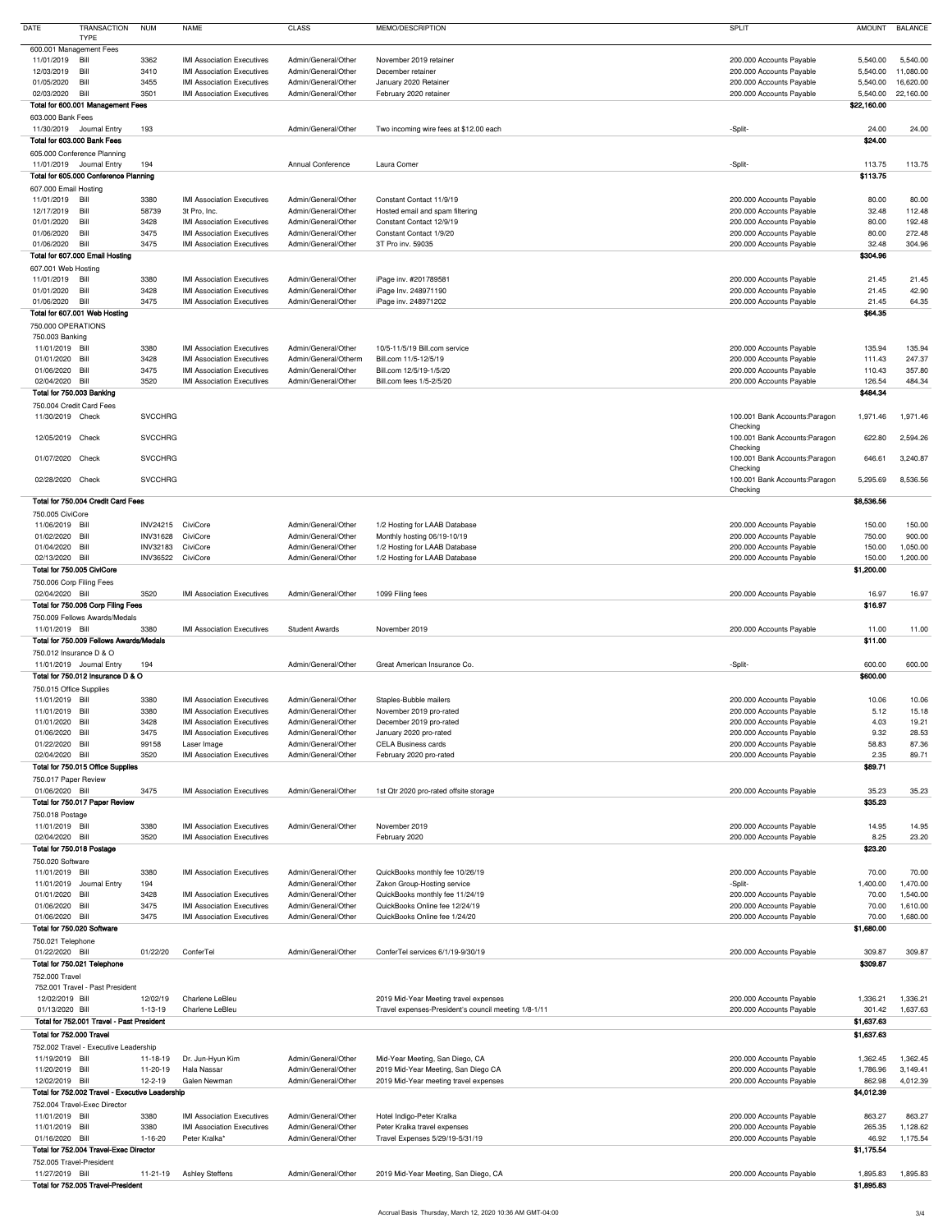| <b>DATE</b><br><b>TRANSACTION</b><br><b>TYPE</b>                   | <b>NUM</b>      | <b>NAME</b>                                                            | <b>CLASS</b>                               | MEMO/DESCRIPTION                                                | SPLIT                                                | <b>AMOUNT</b>        | <b>BALANCE</b>         |
|--------------------------------------------------------------------|-----------------|------------------------------------------------------------------------|--------------------------------------------|-----------------------------------------------------------------|------------------------------------------------------|----------------------|------------------------|
| 600.001 Management Fees                                            |                 |                                                                        |                                            |                                                                 |                                                      |                      |                        |
| 11/01/2019 Bill                                                    | 3362            | <b>IMI Association Executives</b>                                      | Admin/General/Other                        | November 2019 retainer                                          | 200.000 Accounts Payable                             | 5,540.00             | 5,540.00               |
| 12/03/2019 Bill<br>01/05/2020<br>Bill                              | 3410<br>3455    | <b>IMI Association Executives</b><br><b>IMI Association Executives</b> | Admin/General/Other<br>Admin/General/Other | December retainer<br>January 2020 Retainer                      | 200.000 Accounts Payable<br>200.000 Accounts Payable | 5,540.00<br>5,540.00 | 11,080.00<br>16,620.00 |
| 02/03/2020 Bill                                                    | 3501            | <b>IMI Association Executives</b>                                      | Admin/General/Other                        | February 2020 retainer                                          | 200.000 Accounts Payable                             | 5,540.00             | 22,160.00              |
| Total for 600.001 Management Fees                                  |                 |                                                                        |                                            |                                                                 |                                                      | \$22,160.00          |                        |
| 603.000 Bank Fees<br>11/30/2019 Journal Entry                      | 193             |                                                                        | Admin/General/Other                        | Two incoming wire fees at \$12.00 each                          | -Split-                                              | 24.00                | 24.00                  |
| Total for 603.000 Bank Fees                                        |                 |                                                                        |                                            |                                                                 |                                                      | \$24.00              |                        |
| 605.000 Conference Planning                                        |                 |                                                                        |                                            |                                                                 |                                                      |                      |                        |
| 11/01/2019 Journal Entry<br>Total for 605.000 Conference Planning  | 194             |                                                                        | <b>Annual Conference</b>                   | Laura Comer                                                     | -Split-                                              | 113.75<br>\$113.75   | 113.75                 |
| 607.000 Email Hosting                                              |                 |                                                                        |                                            |                                                                 |                                                      |                      |                        |
| 11/01/2019 Bill                                                    | 3380            | <b>IMI Association Executives</b>                                      | Admin/General/Other                        | Constant Contact 11/9/19                                        | 200.000 Accounts Payable                             | 80.00                | 80.00                  |
| 12/17/2019 Bill                                                    | 58739           | 3t Pro, Inc.                                                           | Admin/General/Other<br>Admin/General/Other | Hosted email and spam filtering<br>Constant Contact 12/9/19     | 200.000 Accounts Payable                             | 32.48                | 112.48                 |
| 01/01/2020<br>Bill<br>01/06/2020<br>Bill                           | 3428<br>3475    | <b>IMI Association Executives</b><br><b>IMI Association Executives</b> | Admin/General/Other                        | Constant Contact 1/9/20                                         | 200.000 Accounts Payable<br>200.000 Accounts Payable | 80.00<br>80.00       | 192.48<br>272.48       |
| 01/06/2020<br>Bill                                                 | 3475            | <b>IMI Association Executives</b>                                      | Admin/General/Other                        | 3T Pro inv. 59035                                               | 200.000 Accounts Payable                             | 32.48                | 304.96                 |
| Total for 607.000 Email Hosting                                    |                 |                                                                        |                                            |                                                                 |                                                      | \$304.96             |                        |
| 607.001 Web Hosting<br>11/01/2019 Bill                             | 3380            | <b>IMI Association Executives</b>                                      | Admin/General/Other                        | iPage inv. #201789581                                           | 200.000 Accounts Payable                             | 21.45                | 21.45                  |
| 01/01/2020<br>Bill                                                 | 3428            | <b>IMI Association Executives</b>                                      | Admin/General/Other                        | iPage Inv. 248971190                                            | 200.000 Accounts Payable                             | 21.45                | 42.90                  |
| 01/06/2020 Bill                                                    | 3475            | <b>IMI Association Executives</b>                                      | Admin/General/Other                        | iPage inv. 248971202                                            | 200.000 Accounts Payable                             | 21.45                | 64.35                  |
| Total for 607.001 Web Hosting<br>750.000 OPERATIONS                |                 |                                                                        |                                            |                                                                 |                                                      | \$64.35              |                        |
| 750.003 Banking                                                    |                 |                                                                        |                                            |                                                                 |                                                      |                      |                        |
| 11/01/2019 Bill                                                    | 3380            | <b>IMI Association Executives</b>                                      | Admin/General/Other                        | 10/5-11/5/19 Bill.com service                                   | 200.000 Accounts Payable                             | 135.94               | 135.94                 |
| 01/01/2020 Bill                                                    | 3428            | <b>IMI Association Executives</b>                                      | Admin/General/Otherm                       | Bill.com 11/5-12/5/19                                           | 200.000 Accounts Payable                             | 111.43               | 247.37                 |
| 01/06/2020 Bill<br>02/04/2020 Bill                                 | 3475            | <b>IMI Association Executives</b><br><b>IMI Association Executives</b> | Admin/General/Other<br>Admin/General/Other | Bill.com 12/5/19-1/5/20                                         | 200.000 Accounts Payable                             | 110.43               | 357.80                 |
| Total for 750.003 Banking                                          | 3520            |                                                                        |                                            | Bill.com fees 1/5-2/5/20                                        | 200.000 Accounts Payable                             | 126.54<br>\$484.34   | 484.34                 |
| 750.004 Credit Card Fees                                           |                 |                                                                        |                                            |                                                                 |                                                      |                      |                        |
| 11/30/2019 Check                                                   | <b>SVCCHRG</b>  |                                                                        |                                            |                                                                 | 100.001 Bank Accounts: Paragon                       | 1,971.46             | 1,971.46               |
| 12/05/2019 Check                                                   | <b>SVCCHRG</b>  |                                                                        |                                            |                                                                 | Checking<br>100.001 Bank Accounts: Paragon           | 622.80               | 2,594.26               |
|                                                                    |                 |                                                                        |                                            |                                                                 | Checking                                             |                      |                        |
| 01/07/2020 Check                                                   | <b>SVCCHRG</b>  |                                                                        |                                            |                                                                 | 100.001 Bank Accounts: Paragon                       | 646.61               | 3,240.87               |
| 02/28/2020 Check                                                   | <b>SVCCHRG</b>  |                                                                        |                                            |                                                                 | Checking<br>100.001 Bank Accounts: Paragon           | 5,295.69             | 8,536.56               |
|                                                                    |                 |                                                                        |                                            |                                                                 | Checking                                             |                      |                        |
| Total for 750.004 Credit Card Fees                                 |                 |                                                                        |                                            |                                                                 |                                                      | \$8,536.56           |                        |
| 750.005 CiviCore<br>11/06/2019 Bill                                | INV24215        | CiviCore                                                               | Admin/General/Other                        | 1/2 Hosting for LAAB Database                                   | 200.000 Accounts Payable                             | 150.00               | 150.00                 |
| 01/02/2020 Bill                                                    | <b>INV31628</b> | CiviCore                                                               | Admin/General/Other                        | Monthly hosting 06/19-10/19                                     | 200.000 Accounts Payable                             | 750.00               | 900.00                 |
| 01/04/2020 Bill                                                    | <b>INV32183</b> | CiviCore                                                               | Admin/General/Other                        | 1/2 Hosting for LAAB Database                                   | 200.000 Accounts Payable                             | 150.00               | 1,050.00               |
| 02/13/2020 Bill                                                    | <b>INV36522</b> | CiviCore                                                               | Admin/General/Other                        | 1/2 Hosting for LAAB Database                                   | 200.000 Accounts Payable                             | 150.00               | 1,200.00               |
| Total for 750.005 CiviCore                                         |                 |                                                                        |                                            |                                                                 |                                                      | \$1,200.00           |                        |
| 750.006 Corp Filing Fees<br>02/04/2020 Bill                        | 3520            | <b>IMI Association Executives</b>                                      | Admin/General/Other                        | 1099 Filing fees                                                | 200.000 Accounts Payable                             | 16.97                | 16.97                  |
| Total for 750.006 Corp Filing Fees                                 |                 |                                                                        |                                            |                                                                 |                                                      | \$16.97              |                        |
| 750.009 Fellows Awards/Medals                                      |                 |                                                                        |                                            |                                                                 |                                                      |                      |                        |
| 11/01/2019 Bill                                                    | 3380            | <b>IMI Association Executives</b>                                      | <b>Student Awards</b>                      | November 2019                                                   | 200.000 Accounts Payable                             | 11.00                | 11.00                  |
| Total for 750.009 Fellows Awards/Medals<br>750.012 Insurance D & O |                 |                                                                        |                                            |                                                                 |                                                      | \$11.00              |                        |
| 11/01/2019 Journal Entry                                           | 194             |                                                                        | Admin/General/Other                        | Great American Insurance Co.                                    | -Split-                                              | 600.00               | 600.00                 |
| Total for 750.012 Insurance D & O                                  |                 |                                                                        |                                            |                                                                 |                                                      | \$600.00             |                        |
| 750.015 Office Supplies                                            |                 |                                                                        |                                            |                                                                 |                                                      |                      |                        |
| 11/01/2019 Bill                                                    | 3380            | <b>IMI Association Executives</b>                                      | Admin/General/Other                        | Staples-Bubble mailers                                          | 200.000 Accounts Payable                             | 10.06                | 10.06                  |
| 11/01/2019 Bill<br>Bill<br>01/01/2020                              | 3380<br>3428    | <b>IMI Association Executives</b><br><b>IMI Association Executives</b> | Admin/General/Other<br>Admin/General/Other | November 2019 pro-rated<br>December 2019 pro-rated              | 200.000 Accounts Payable<br>200.000 Accounts Payable | 5.12<br>4.03         | 15.18<br>19.21         |
| 01/06/2020 Bill                                                    | 3475            | <b>IMI Association Executives</b>                                      | Admin/General/Other                        | January 2020 pro-rated                                          | 200.000 Accounts Payable                             | 9.32                 | 28.53                  |
| 01/22/2020<br>Bill                                                 | 99158           | Laser Image                                                            | Admin/General/Other                        | <b>CELA Business cards</b>                                      | 200.000 Accounts Payable                             | 58.83                | 87.36                  |
| 02/04/2020 Bill                                                    | 3520            | <b>IMI Association Executives</b>                                      | Admin/General/Other                        | February 2020 pro-rated                                         | 200.000 Accounts Payable                             | 2.35                 | 89.71                  |
| Total for 750.015 Office Supplies<br>750.017 Paper Review          |                 |                                                                        |                                            |                                                                 |                                                      | \$89.71              |                        |
| 01/06/2020 Bill                                                    | 3475            | <b>IMI Association Executives</b>                                      | Admin/General/Other                        | 1st Qtr 2020 pro-rated offsite storage                          | 200.000 Accounts Payable                             | 35.23                | 35.23                  |
| Total for 750.017 Paper Review                                     |                 |                                                                        |                                            |                                                                 |                                                      | \$35.23              |                        |
| 750.018 Postage                                                    |                 |                                                                        |                                            |                                                                 |                                                      |                      |                        |
| 11/01/2019 Bill                                                    | 3380            | <b>IMI Association Executives</b>                                      | Admin/General/Other                        | November 2019                                                   | 200.000 Accounts Payable                             | 14.95                | 14.95                  |
| 02/04/2020 Bill<br>Total for 750.018 Postage                       | 3520            | <b>IMI Association Executives</b>                                      |                                            | February 2020                                                   | 200.000 Accounts Payable                             | 8.25<br>\$23.20      | 23.20                  |
| 750.020 Software                                                   |                 |                                                                        |                                            |                                                                 |                                                      |                      |                        |
| 11/01/2019 Bill                                                    | 3380            | <b>IMI Association Executives</b>                                      | Admin/General/Other                        | QuickBooks monthly fee 10/26/19                                 | 200.000 Accounts Payable                             | 70.00                | 70.00                  |
| 11/01/2019 Journal Entry                                           | 194             |                                                                        | Admin/General/Other                        | Zakon Group-Hosting service                                     | -Split-                                              | 1,400.00             | 1,470.00               |
| 01/01/2020 Bill                                                    | 3428            | <b>IMI Association Executives</b>                                      | Admin/General/Other                        | QuickBooks monthly fee 11/24/19                                 | 200.000 Accounts Payable                             | 70.00                | 1,540.00               |
| 01/06/2020 Bill<br>01/06/2020 Bill                                 | 3475<br>3475    | <b>IMI Association Executives</b><br><b>IMI Association Executives</b> | Admin/General/Other<br>Admin/General/Other | QuickBooks Online fee 12/24/19<br>QuickBooks Online fee 1/24/20 | 200.000 Accounts Payable<br>200.000 Accounts Payable | 70.00<br>70.00       | 1,610.00<br>1,680.00   |
| Total for 750.020 Software                                         |                 |                                                                        |                                            |                                                                 |                                                      | \$1,680.00           |                        |
| 750.021 Telephone                                                  |                 |                                                                        |                                            |                                                                 |                                                      |                      |                        |
| 01/22/2020 Bill                                                    | 01/22/20        | ConferTel                                                              | Admin/General/Other                        | ConferTel services 6/1/19-9/30/19                               | 200.000 Accounts Payable                             | 309.87               | 309.87                 |
| Total for 750.021 Telephone<br>752.000 Travel                      |                 |                                                                        |                                            |                                                                 |                                                      | \$309.87             |                        |
| 752.001 Travel - Past President                                    |                 |                                                                        |                                            |                                                                 |                                                      |                      |                        |
| 12/02/2019 Bill                                                    | 12/02/19        | <b>Charlene LeBleu</b>                                                 |                                            | 2019 Mid-Year Meeting travel expenses                           | 200.000 Accounts Payable                             | 1,336.21             | 1,336.21               |
| 01/13/2020 Bill                                                    | $1 - 13 - 19$   | Charlene LeBleu                                                        |                                            | Travel expenses-President's council meeting 1/8-1/11            | 200.000 Accounts Payable                             | 301.42               | 1,637.63               |
| Total for 752.001 Travel - Past President                          |                 |                                                                        |                                            |                                                                 |                                                      | \$1,637.63           |                        |
| Total for 752.000 Travel<br>752.002 Travel - Executive Leadership  |                 |                                                                        |                                            |                                                                 |                                                      | \$1,637.63           |                        |
| 11/19/2019 Bill                                                    | 11-18-19        | Dr. Jun-Hyun Kim                                                       | Admin/General/Other                        | Mid-Year Meeting, San Diego, CA                                 | 200.000 Accounts Payable                             | 1,362.45             | 1,362.45               |
| 11/20/2019 Bill                                                    | 11-20-19        | Hala Nassar                                                            | Admin/General/Other                        | 2019 Mid-Year Meeting, San Diego CA                             | 200.000 Accounts Payable                             | 1,786.96             | 3,149.41               |
| 12/02/2019 Bill                                                    | $12 - 2 - 19$   | Galen Newman                                                           | Admin/General/Other                        | 2019 Mid-Year meeting travel expenses                           | 200.000 Accounts Payable                             | 862.98               | 4,012.39               |
| Total for 752.002 Travel - Executive Leadership                    |                 |                                                                        |                                            |                                                                 |                                                      | \$4,012.39           |                        |
| 752.004 Travel-Exec Director<br>11/01/2019 Bill                    | 3380            | <b>IMI Association Executives</b>                                      | Admin/General/Other                        | Hotel Indigo-Peter Kralka                                       | 200.000 Accounts Payable                             | 863.27               | 863.27                 |
| 11/01/2019 Bill                                                    | 3380            | <b>IMI Association Executives</b>                                      | Admin/General/Other                        | Peter Kralka travel expenses                                    | 200.000 Accounts Payable                             | 265.35               | 1,128.62               |
| 01/16/2020 Bill                                                    | 1-16-20         | Peter Kralka*                                                          | Admin/General/Other                        | Travel Expenses 5/29/19-5/31/19                                 | 200.000 Accounts Payable                             | 46.92                | 1,175.54               |
| Total for 752.004 Travel-Exec Director                             |                 |                                                                        |                                            |                                                                 |                                                      | \$1,175.54           |                        |
| 752.005 Travel-President<br>11/27/2019 Bill                        | 11-21-19        | <b>Ashley Steffens</b>                                                 | Admin/General/Other                        | 2019 Mid-Year Meeting, San Diego, CA                            | 200.000 Accounts Payable                             | 1,895.83             | 1,895.83               |
| Total for 752.005 Travel-President                                 |                 |                                                                        |                                            |                                                                 |                                                      | \$1,895.83           |                        |